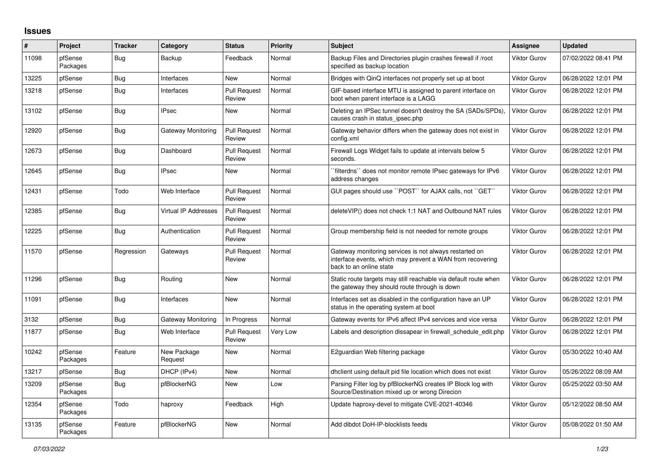## **Issues**

| ∦     | Project             | <b>Tracker</b> | Category                    | <b>Status</b>                 | Priority | <b>Subject</b>                                                                                                                                 | <b>Assignee</b>     | <b>Updated</b>      |
|-------|---------------------|----------------|-----------------------------|-------------------------------|----------|------------------------------------------------------------------------------------------------------------------------------------------------|---------------------|---------------------|
| 11098 | pfSense<br>Packages | Bug            | Backup                      | Feedback                      | Normal   | Backup Files and Directories plugin crashes firewall if /root<br>specified as backup location                                                  | Viktor Gurov        | 07/02/2022 08:41 PM |
| 13225 | pfSense             | Bug            | Interfaces                  | New                           | Normal   | Bridges with QinQ interfaces not properly set up at boot                                                                                       | Viktor Gurov        | 06/28/2022 12:01 PM |
| 13218 | pfSense             | <b>Bug</b>     | Interfaces                  | <b>Pull Request</b><br>Review | Normal   | GIF-based interface MTU is assigned to parent interface on<br>boot when parent interface is a LAGG                                             | Viktor Gurov        | 06/28/2022 12:01 PM |
| 13102 | pfSense             | <b>Bug</b>     | <b>IPsec</b>                | New                           | Normal   | Deleting an IPSec tunnel doesn't destroy the SA (SADs/SPDs),<br>causes crash in status_ipsec.php                                               | Viktor Gurov        | 06/28/2022 12:01 PM |
| 12920 | pfSense             | Bug            | Gateway Monitoring          | <b>Pull Request</b><br>Review | Normal   | Gateway behavior differs when the gateway does not exist in<br>config.xml                                                                      | <b>Viktor Gurov</b> | 06/28/2022 12:01 PM |
| 12673 | pfSense             | <b>Bug</b>     | Dashboard                   | <b>Pull Request</b><br>Review | Normal   | Firewall Logs Widget fails to update at intervals below 5<br>seconds.                                                                          | Viktor Gurov        | 06/28/2022 12:01 PM |
| 12645 | pfSense             | <b>Bug</b>     | <b>IPsec</b>                | New                           | Normal   | filterdns" does not monitor remote IPsec gateways for IPv6<br>address changes                                                                  | Viktor Gurov        | 06/28/2022 12:01 PM |
| 12431 | pfSense             | Todo           | Web Interface               | <b>Pull Request</b><br>Review | Normal   | GUI pages should use "POST" for AJAX calls, not "GET"                                                                                          | Viktor Gurov        | 06/28/2022 12:01 PM |
| 12385 | pfSense             | <b>Bug</b>     | <b>Virtual IP Addresses</b> | <b>Pull Request</b><br>Review | Normal   | deleteVIP() does not check 1:1 NAT and Outbound NAT rules                                                                                      | Viktor Gurov        | 06/28/2022 12:01 PM |
| 12225 | pfSense             | Bug            | Authentication              | <b>Pull Request</b><br>Review | Normal   | Group membership field is not needed for remote groups                                                                                         | Viktor Gurov        | 06/28/2022 12:01 PM |
| 11570 | pfSense             | Regression     | Gateways                    | <b>Pull Request</b><br>Review | Normal   | Gateway monitoring services is not always restarted on<br>interface events, which may prevent a WAN from recovering<br>back to an online state | Viktor Gurov        | 06/28/2022 12:01 PM |
| 11296 | pfSense             | Bug            | Routing                     | New                           | Normal   | Static route targets may still reachable via default route when<br>the gateway they should route through is down                               | Viktor Gurov        | 06/28/2022 12:01 PM |
| 11091 | pfSense             | Bug            | Interfaces                  | New                           | Normal   | Interfaces set as disabled in the configuration have an UP<br>status in the operating system at boot                                           | Viktor Gurov        | 06/28/2022 12:01 PM |
| 3132  | pfSense             | Bug            | Gateway Monitoring          | In Progress                   | Normal   | Gateway events for IPv6 affect IPv4 services and vice versa                                                                                    | Viktor Gurov        | 06/28/2022 12:01 PM |
| 11877 | pfSense             | Bug            | Web Interface               | <b>Pull Request</b><br>Review | Very Low | Labels and description dissapear in firewall schedule edit.php                                                                                 | Viktor Gurov        | 06/28/2022 12:01 PM |
| 10242 | pfSense<br>Packages | Feature        | New Package<br>Request      | New                           | Normal   | E2guardian Web filtering package                                                                                                               | Viktor Gurov        | 05/30/2022 10:40 AM |
| 13217 | pfSense             | Bug            | DHCP (IPv4)                 | New                           | Normal   | dhclient using default pid file location which does not exist                                                                                  | Viktor Gurov        | 05/26/2022 08:09 AM |
| 13209 | pfSense<br>Packages | <b>Bug</b>     | pfBlockerNG                 | New                           | Low      | Parsing Filter log by pfBlockerNG creates IP Block log with<br>Source/Destination mixed up or wrong Direcion                                   | Viktor Gurov        | 05/25/2022 03:50 AM |
| 12354 | pfSense<br>Packages | Todo           | haproxy                     | Feedback                      | High     | Update haproxy-devel to mitigate CVE-2021-40346                                                                                                | Viktor Gurov        | 05/12/2022 08:50 AM |
| 13135 | pfSense<br>Packages | Feature        | pfBlockerNG                 | New                           | Normal   | Add dibdot DoH-IP-blocklists feeds                                                                                                             | Viktor Gurov        | 05/08/2022 01:50 AM |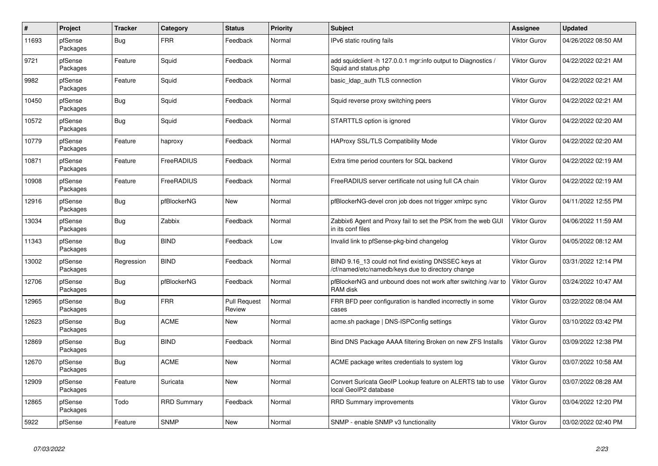| $\#$  | Project             | <b>Tracker</b> | Category           | <b>Status</b>                 | <b>Priority</b> | <b>Subject</b>                                                                                           | Assignee            | <b>Updated</b>      |
|-------|---------------------|----------------|--------------------|-------------------------------|-----------------|----------------------------------------------------------------------------------------------------------|---------------------|---------------------|
| 11693 | pfSense<br>Packages | Bug            | <b>FRR</b>         | Feedback                      | Normal          | IPv6 static routing fails                                                                                | Viktor Gurov        | 04/26/2022 08:50 AM |
| 9721  | pfSense<br>Packages | Feature        | Squid              | Feedback                      | Normal          | add squidclient -h 127.0.0.1 mgr:info output to Diagnostics /<br>Squid and status.php                    | Viktor Gurov        | 04/22/2022 02:21 AM |
| 9982  | pfSense<br>Packages | Feature        | Squid              | Feedback                      | Normal          | basic Idap auth TLS connection                                                                           | <b>Viktor Gurov</b> | 04/22/2022 02:21 AM |
| 10450 | pfSense<br>Packages | <b>Bug</b>     | Squid              | Feedback                      | Normal          | Squid reverse proxy switching peers                                                                      | Viktor Gurov        | 04/22/2022 02:21 AM |
| 10572 | pfSense<br>Packages | Bug            | Squid              | Feedback                      | Normal          | STARTTLS option is ignored                                                                               | Viktor Gurov        | 04/22/2022 02:20 AM |
| 10779 | pfSense<br>Packages | Feature        | haproxy            | Feedback                      | Normal          | HAProxy SSL/TLS Compatibility Mode                                                                       | Viktor Gurov        | 04/22/2022 02:20 AM |
| 10871 | pfSense<br>Packages | Feature        | FreeRADIUS         | Feedback                      | Normal          | Extra time period counters for SQL backend                                                               | Viktor Gurov        | 04/22/2022 02:19 AM |
| 10908 | pfSense<br>Packages | Feature        | FreeRADIUS         | Feedback                      | Normal          | FreeRADIUS server certificate not using full CA chain                                                    | Viktor Gurov        | 04/22/2022 02:19 AM |
| 12916 | pfSense<br>Packages | <b>Bug</b>     | pfBlockerNG        | <b>New</b>                    | Normal          | pfBlockerNG-devel cron job does not trigger xmlrpc sync                                                  | Viktor Gurov        | 04/11/2022 12:55 PM |
| 13034 | pfSense<br>Packages | Bug            | Zabbix             | Feedback                      | Normal          | Zabbix6 Agent and Proxy fail to set the PSK from the web GUI<br>in its conf files                        | Viktor Gurov        | 04/06/2022 11:59 AM |
| 11343 | pfSense<br>Packages | <b>Bug</b>     | <b>BIND</b>        | Feedback                      | Low             | Invalid link to pfSense-pkg-bind changelog                                                               | Viktor Gurov        | 04/05/2022 08:12 AM |
| 13002 | pfSense<br>Packages | Regression     | <b>BIND</b>        | Feedback                      | Normal          | BIND 9.16_13 could not find existing DNSSEC keys at<br>/cf/named/etc/namedb/keys due to directory change | Viktor Gurov        | 03/31/2022 12:14 PM |
| 12706 | pfSense<br>Packages | Bug            | pfBlockerNG        | Feedback                      | Normal          | pfBlockerNG and unbound does not work after switching /var to<br>RAM disk                                | <b>Viktor Gurov</b> | 03/24/2022 10:47 AM |
| 12965 | pfSense<br>Packages | <b>Bug</b>     | <b>FRR</b>         | <b>Pull Request</b><br>Review | Normal          | FRR BFD peer configuration is handled incorrectly in some<br>cases                                       | Viktor Gurov        | 03/22/2022 08:04 AM |
| 12623 | pfSense<br>Packages | Bug            | <b>ACME</b>        | New                           | Normal          | acme.sh package   DNS-ISPConfig settings                                                                 | Viktor Gurov        | 03/10/2022 03:42 PM |
| 12869 | pfSense<br>Packages | Bug            | <b>BIND</b>        | Feedback                      | Normal          | Bind DNS Package AAAA filtering Broken on new ZFS Installs                                               | Viktor Gurov        | 03/09/2022 12:38 PM |
| 12670 | pfSense<br>Packages | Bug            | <b>ACME</b>        | <b>New</b>                    | Normal          | ACME package writes credentials to system log                                                            | Viktor Gurov        | 03/07/2022 10:58 AM |
| 12909 | pfSense<br>Packages | Feature        | Suricata           | New                           | Normal          | Convert Suricata GeoIP Lookup feature on ALERTS tab to use<br>local GeoIP2 database                      | Viktor Gurov        | 03/07/2022 08:28 AM |
| 12865 | pfSense<br>Packages | Todo           | <b>RRD Summary</b> | Feedback                      | Normal          | <b>RRD Summary improvements</b>                                                                          | Viktor Gurov        | 03/04/2022 12:20 PM |
| 5922  | pfSense             | Feature        | <b>SNMP</b>        | <b>New</b>                    | Normal          | SNMP - enable SNMP v3 functionality                                                                      | Viktor Gurov        | 03/02/2022 02:40 PM |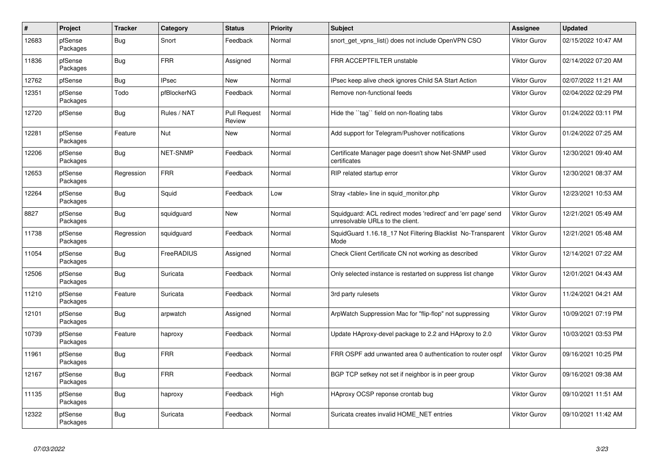| $\sharp$ | <b>Project</b>      | <b>Tracker</b> | Category     | <b>Status</b>                 | <b>Priority</b> | <b>Subject</b>                                                                                    | Assignee     | <b>Updated</b>      |
|----------|---------------------|----------------|--------------|-------------------------------|-----------------|---------------------------------------------------------------------------------------------------|--------------|---------------------|
| 12683    | pfSense<br>Packages | <b>Bug</b>     | Snort        | Feedback                      | Normal          | snort get vpns list() does not include OpenVPN CSO                                                | Viktor Gurov | 02/15/2022 10:47 AM |
| 11836    | pfSense<br>Packages | Bug            | <b>FRR</b>   | Assigned                      | Normal          | FRR ACCEPTFILTER unstable                                                                         | Viktor Gurov | 02/14/2022 07:20 AM |
| 12762    | pfSense             | <b>Bug</b>     | <b>IPsec</b> | <b>New</b>                    | Normal          | IPsec keep alive check ignores Child SA Start Action                                              | Viktor Gurov | 02/07/2022 11:21 AM |
| 12351    | pfSense<br>Packages | Todo           | pfBlockerNG  | Feedback                      | Normal          | Remove non-functional feeds                                                                       | Viktor Gurov | 02/04/2022 02:29 PM |
| 12720    | pfSense             | <b>Bug</b>     | Rules / NAT  | <b>Pull Request</b><br>Review | Normal          | Hide the "tag" field on non-floating tabs                                                         | Viktor Gurov | 01/24/2022 03:11 PM |
| 12281    | pfSense<br>Packages | Feature        | Nut          | <b>New</b>                    | Normal          | Add support for Telegram/Pushover notifications                                                   | Viktor Gurov | 01/24/2022 07:25 AM |
| 12206    | pfSense<br>Packages | <b>Bug</b>     | NET-SNMP     | Feedback                      | Normal          | Certificate Manager page doesn't show Net-SNMP used<br>certificates                               | Viktor Gurov | 12/30/2021 09:40 AM |
| 12653    | pfSense<br>Packages | Regression     | <b>FRR</b>   | Feedback                      | Normal          | RIP related startup error                                                                         | Viktor Gurov | 12/30/2021 08:37 AM |
| 12264    | pfSense<br>Packages | <b>Bug</b>     | Squid        | Feedback                      | Low             | Stray <table> line in squid monitor.php</table>                                                   | Viktor Gurov | 12/23/2021 10:53 AM |
| 8827     | pfSense<br>Packages | Bug            | squidguard   | New                           | Normal          | Squidguard: ACL redirect modes 'redirect' and 'err page' send<br>unresolvable URLs to the client. | Viktor Gurov | 12/21/2021 05:49 AM |
| 11738    | pfSense<br>Packages | Regression     | squidguard   | Feedback                      | Normal          | SquidGuard 1.16.18_17 Not Filtering Blacklist No-Transparent<br>Mode                              | Viktor Gurov | 12/21/2021 05:48 AM |
| 11054    | pfSense<br>Packages | <b>Bug</b>     | FreeRADIUS   | Assigned                      | Normal          | Check Client Certificate CN not working as described                                              | Viktor Gurov | 12/14/2021 07:22 AM |
| 12506    | pfSense<br>Packages | Bug            | Suricata     | Feedback                      | Normal          | Only selected instance is restarted on suppress list change                                       | Viktor Gurov | 12/01/2021 04:43 AM |
| 11210    | pfSense<br>Packages | Feature        | Suricata     | Feedback                      | Normal          | 3rd party rulesets                                                                                | Viktor Gurov | 11/24/2021 04:21 AM |
| 12101    | pfSense<br>Packages | <b>Bug</b>     | arpwatch     | Assigned                      | Normal          | ArpWatch Suppression Mac for "flip-flop" not suppressing                                          | Viktor Gurov | 10/09/2021 07:19 PM |
| 10739    | pfSense<br>Packages | Feature        | haproxy      | Feedback                      | Normal          | Update HAproxy-devel package to 2.2 and HAproxy to 2.0                                            | Viktor Gurov | 10/03/2021 03:53 PM |
| 11961    | pfSense<br>Packages | Bug            | <b>FRR</b>   | Feedback                      | Normal          | FRR OSPF add unwanted area 0 authentication to router ospf                                        | Viktor Gurov | 09/16/2021 10:25 PM |
| 12167    | pfSense<br>Packages | Bug            | <b>FRR</b>   | Feedback                      | Normal          | BGP TCP setkey not set if neighbor is in peer group                                               | Viktor Gurov | 09/16/2021 09:38 AM |
| 11135    | pfSense<br>Packages | Bug            | haproxy      | Feedback                      | High            | HAproxy OCSP reponse crontab bug                                                                  | Viktor Gurov | 09/10/2021 11:51 AM |
| 12322    | pfSense<br>Packages | Bug            | Suricata     | Feedback                      | Normal          | Suricata creates invalid HOME_NET entries                                                         | Viktor Gurov | 09/10/2021 11:42 AM |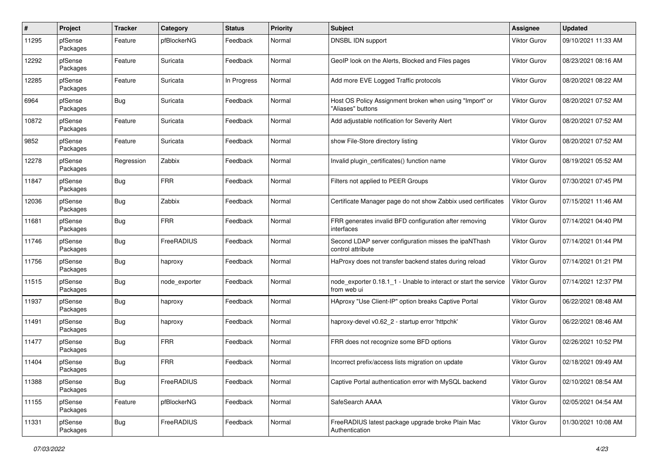| $\#$  | Project             | <b>Tracker</b> | Category      | <b>Status</b> | <b>Priority</b> | <b>Subject</b>                                                                  | <b>Assignee</b>     | <b>Updated</b>      |
|-------|---------------------|----------------|---------------|---------------|-----------------|---------------------------------------------------------------------------------|---------------------|---------------------|
| 11295 | pfSense<br>Packages | Feature        | pfBlockerNG   | Feedback      | Normal          | DNSBL IDN support                                                               | Viktor Gurov        | 09/10/2021 11:33 AM |
| 12292 | pfSense<br>Packages | Feature        | Suricata      | Feedback      | Normal          | GeoIP look on the Alerts, Blocked and Files pages                               | Viktor Gurov        | 08/23/2021 08:16 AM |
| 12285 | pfSense<br>Packages | Feature        | Suricata      | In Progress   | Normal          | Add more EVE Logged Traffic protocols                                           | Viktor Gurov        | 08/20/2021 08:22 AM |
| 6964  | pfSense<br>Packages | Bug            | Suricata      | Feedback      | Normal          | Host OS Policy Assignment broken when using "Import" or<br>"Aliases" buttons    | Viktor Gurov        | 08/20/2021 07:52 AM |
| 10872 | pfSense<br>Packages | Feature        | Suricata      | Feedback      | Normal          | Add adjustable notification for Severity Alert                                  | Viktor Gurov        | 08/20/2021 07:52 AM |
| 9852  | pfSense<br>Packages | Feature        | Suricata      | Feedback      | Normal          | show File-Store directory listing                                               | Viktor Gurov        | 08/20/2021 07:52 AM |
| 12278 | pfSense<br>Packages | Regression     | Zabbix        | Feedback      | Normal          | Invalid plugin_certificates() function name                                     | <b>Viktor Gurov</b> | 08/19/2021 05:52 AM |
| 11847 | pfSense<br>Packages | Bug            | <b>FRR</b>    | Feedback      | Normal          | Filters not applied to PEER Groups                                              | <b>Viktor Gurov</b> | 07/30/2021 07:45 PM |
| 12036 | pfSense<br>Packages | <b>Bug</b>     | Zabbix        | Feedback      | Normal          | Certificate Manager page do not show Zabbix used certificates                   | Viktor Gurov        | 07/15/2021 11:46 AM |
| 11681 | pfSense<br>Packages | <b>Bug</b>     | <b>FRR</b>    | Feedback      | Normal          | FRR generates invalid BFD configuration after removing<br>interfaces            | Viktor Gurov        | 07/14/2021 04:40 PM |
| 11746 | pfSense<br>Packages | Bug            | FreeRADIUS    | Feedback      | Normal          | Second LDAP server configuration misses the ipaNThash<br>control attribute      | Viktor Gurov        | 07/14/2021 01:44 PM |
| 11756 | pfSense<br>Packages | Bug            | haproxy       | Feedback      | Normal          | HaProxy does not transfer backend states during reload                          | Viktor Gurov        | 07/14/2021 01:21 PM |
| 11515 | pfSense<br>Packages | <b>Bug</b>     | node_exporter | Feedback      | Normal          | node_exporter 0.18.1_1 - Unable to interact or start the service<br>from web ui | Viktor Gurov        | 07/14/2021 12:37 PM |
| 11937 | pfSense<br>Packages | <b>Bug</b>     | haproxy       | Feedback      | Normal          | HAproxy "Use Client-IP" option breaks Captive Portal                            | Viktor Gurov        | 06/22/2021 08:48 AM |
| 11491 | pfSense<br>Packages | Bug            | haproxy       | Feedback      | Normal          | haproxy-devel v0.62_2 - startup error 'httpchk'                                 | <b>Viktor Gurov</b> | 06/22/2021 08:46 AM |
| 11477 | pfSense<br>Packages | <b>Bug</b>     | <b>FRR</b>    | Feedback      | Normal          | FRR does not recognize some BFD options                                         | Viktor Gurov        | 02/26/2021 10:52 PM |
| 11404 | pfSense<br>Packages | Bug            | <b>FRR</b>    | Feedback      | Normal          | Incorrect prefix/access lists migration on update                               | Viktor Gurov        | 02/18/2021 09:49 AM |
| 11388 | pfSense<br>Packages | <b>Bug</b>     | FreeRADIUS    | Feedback      | Normal          | Captive Portal authentication error with MySQL backend                          | Viktor Gurov        | 02/10/2021 08:54 AM |
| 11155 | pfSense<br>Packages | Feature        | pfBlockerNG   | Feedback      | Normal          | SafeSearch AAAA                                                                 | Viktor Gurov        | 02/05/2021 04:54 AM |
| 11331 | pfSense<br>Packages | <b>Bug</b>     | FreeRADIUS    | Feedback      | Normal          | FreeRADIUS latest package upgrade broke Plain Mac<br>Authentication             | Viktor Gurov        | 01/30/2021 10:08 AM |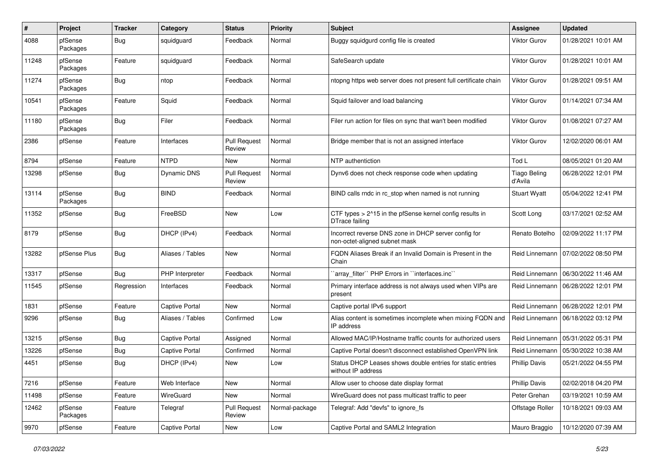| $\sharp$ | Project             | <b>Tracker</b> | Category              | <b>Status</b>                 | <b>Priority</b> | Subject                                                                               | <b>Assignee</b>                | <b>Updated</b>      |
|----------|---------------------|----------------|-----------------------|-------------------------------|-----------------|---------------------------------------------------------------------------------------|--------------------------------|---------------------|
| 4088     | pfSense<br>Packages | <b>Bug</b>     | squidguard            | Feedback                      | Normal          | Buggy squidgurd config file is created                                                | Viktor Gurov                   | 01/28/2021 10:01 AM |
| 11248    | pfSense<br>Packages | Feature        | squidguard            | Feedback                      | Normal          | SafeSearch update                                                                     | Viktor Gurov                   | 01/28/2021 10:01 AM |
| 11274    | pfSense<br>Packages | <b>Bug</b>     | ntop                  | Feedback                      | Normal          | ntopng https web server does not present full certificate chain                       | Viktor Gurov                   | 01/28/2021 09:51 AM |
| 10541    | pfSense<br>Packages | Feature        | Squid                 | Feedback                      | Normal          | Squid failover and load balancing                                                     | Viktor Gurov                   | 01/14/2021 07:34 AM |
| 11180    | pfSense<br>Packages | <b>Bug</b>     | Filer                 | Feedback                      | Normal          | Filer run action for files on sync that wan't been modified                           | Viktor Gurov                   | 01/08/2021 07:27 AM |
| 2386     | pfSense             | Feature        | Interfaces            | <b>Pull Request</b><br>Review | Normal          | Bridge member that is not an assigned interface                                       | Viktor Gurov                   | 12/02/2020 06:01 AM |
| 8794     | pfSense             | Feature        | <b>NTPD</b>           | New                           | Normal          | NTP authentiction                                                                     | Tod L                          | 08/05/2021 01:20 AM |
| 13298    | pfSense             | <b>Bug</b>     | <b>Dynamic DNS</b>    | <b>Pull Request</b><br>Review | Normal          | Dynv6 does not check response code when updating                                      | <b>Tiago Beling</b><br>d'Avila | 06/28/2022 12:01 PM |
| 13114    | pfSense<br>Packages | Bug            | <b>BIND</b>           | Feedback                      | Normal          | BIND calls rndc in rc stop when named is not running                                  | <b>Stuart Wyatt</b>            | 05/04/2022 12:41 PM |
| 11352    | pfSense             | <b>Bug</b>     | FreeBSD               | New                           | Low             | CTF types > 2^15 in the pfSense kernel config results in<br>DTrace failing            | Scott Long                     | 03/17/2021 02:52 AM |
| 8179     | pfSense             | <b>Bug</b>     | DHCP (IPv4)           | Feedback                      | Normal          | Incorrect reverse DNS zone in DHCP server config for<br>non-octet-aligned subnet mask | Renato Botelho                 | 02/09/2022 11:17 PM |
| 13282    | pfSense Plus        | <b>Bug</b>     | Aliases / Tables      | New                           | Normal          | FQDN Aliases Break if an Invalid Domain is Present in the<br>Chain                    | Reid Linnemann                 | 07/02/2022 08:50 PM |
| 13317    | pfSense             | Bug            | PHP Interpreter       | Feedback                      | Normal          | 'array_filter'' PHP Errors in ''interfaces.inc''                                      | Reid Linnemann                 | 06/30/2022 11:46 AM |
| 11545    | pfSense             | Regression     | Interfaces            | Feedback                      | Normal          | Primary interface address is not always used when VIPs are<br>present                 | Reid Linnemann                 | 06/28/2022 12:01 PM |
| 1831     | pfSense             | Feature        | <b>Captive Portal</b> | New                           | Normal          | Captive portal IPv6 support                                                           | Reid Linnemann                 | 06/28/2022 12:01 PM |
| 9296     | pfSense             | <b>Bug</b>     | Aliases / Tables      | Confirmed                     | Low             | Alias content is sometimes incomplete when mixing FQDN and<br>IP address              | Reid Linnemann                 | 06/18/2022 03:12 PM |
| 13215    | pfSense             | <b>Bug</b>     | <b>Captive Portal</b> | Assigned                      | Normal          | Allowed MAC/IP/Hostname traffic counts for authorized users                           | Reid Linnemann                 | 05/31/2022 05:31 PM |
| 13226    | pfSense             | <b>Bug</b>     | <b>Captive Portal</b> | Confirmed                     | Normal          | Captive Portal doesn't disconnect established OpenVPN link                            | Reid Linnemann                 | 05/30/2022 10:38 AM |
| 4451     | pfSense             | <b>Bug</b>     | DHCP (IPv4)           | New                           | Low             | Status DHCP Leases shows double entries for static entries<br>without IP address      | <b>Phillip Davis</b>           | 05/21/2022 04:55 PM |
| 7216     | pfSense             | Feature        | Web Interface         | New                           | Normal          | Allow user to choose date display format                                              | <b>Phillip Davis</b>           | 02/02/2018 04:20 PM |
| 11498    | pfSense             | Feature        | WireGuard             | New                           | Normal          | WireGuard does not pass multicast traffic to peer                                     | Peter Grehan                   | 03/19/2021 10:59 AM |
| 12462    | pfSense<br>Packages | Feature        | Telegraf              | <b>Pull Request</b><br>Review | Normal-package  | Telegraf: Add "devfs" to ignore fs                                                    | Offstage Roller                | 10/18/2021 09:03 AM |
| 9970     | pfSense             | Feature        | Captive Portal        | New                           | Low             | Captive Portal and SAML2 Integration                                                  | Mauro Braggio                  | 10/12/2020 07:39 AM |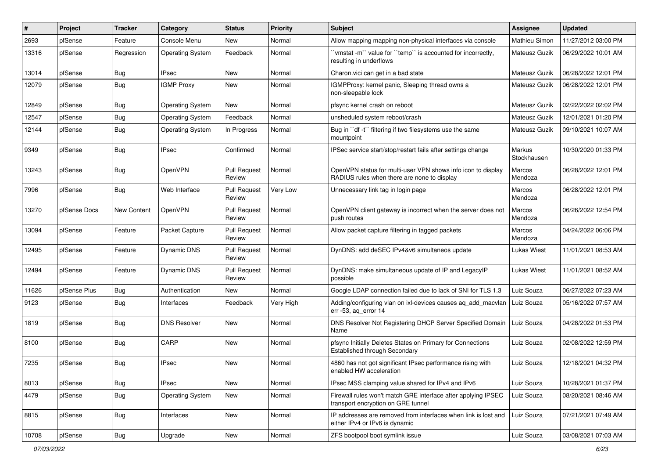| #     | Project      | <b>Tracker</b>     | Category                | <b>Status</b>                 | <b>Priority</b> | Subject                                                                                                     | <b>Assignee</b>       | <b>Updated</b>      |
|-------|--------------|--------------------|-------------------------|-------------------------------|-----------------|-------------------------------------------------------------------------------------------------------------|-----------------------|---------------------|
| 2693  | pfSense      | Feature            | Console Menu            | New                           | Normal          | Allow mapping mapping non-physical interfaces via console                                                   | Mathieu Simon         | 11/27/2012 03:00 PM |
| 13316 | pfSense      | Regression         | <b>Operating System</b> | Feedback                      | Normal          | 'vmstat -m'` value for ''temp'' is accounted for incorrectly,<br>resulting in underflows                    | Mateusz Guzik         | 06/29/2022 10:01 AM |
| 13014 | pfSense      | <b>Bug</b>         | <b>IPsec</b>            | New                           | Normal          | Charon.vici can get in a bad state                                                                          | Mateusz Guzik         | 06/28/2022 12:01 PM |
| 12079 | pfSense      | <b>Bug</b>         | <b>IGMP Proxy</b>       | New                           | Normal          | IGMPProxy: kernel panic, Sleeping thread owns a<br>non-sleepable lock                                       | Mateusz Guzik         | 06/28/2022 12:01 PM |
| 12849 | pfSense      | <b>Bug</b>         | <b>Operating System</b> | New                           | Normal          | pfsync kernel crash on reboot                                                                               | Mateusz Guzik         | 02/22/2022 02:02 PM |
| 12547 | pfSense      | <b>Bug</b>         | <b>Operating System</b> | Feedback                      | Normal          | unsheduled system reboot/crash                                                                              | Mateusz Guzik         | 12/01/2021 01:20 PM |
| 12144 | pfSense      | <b>Bug</b>         | <b>Operating System</b> | In Progress                   | Normal          | Bug in "df -t" filtering if two filesystems use the same<br>mountpoint                                      | Mateusz Guzik         | 09/10/2021 10:07 AM |
| 9349  | pfSense      | <b>Bug</b>         | <b>IPsec</b>            | Confirmed                     | Normal          | IPSec service start/stop/restart fails after settings change                                                | Markus<br>Stockhausen | 10/30/2020 01:33 PM |
| 13243 | pfSense      | <b>Bug</b>         | OpenVPN                 | <b>Pull Request</b><br>Review | Normal          | OpenVPN status for multi-user VPN shows info icon to display<br>RADIUS rules when there are none to display | Marcos<br>Mendoza     | 06/28/2022 12:01 PM |
| 7996  | pfSense      | <b>Bug</b>         | Web Interface           | <b>Pull Request</b><br>Review | Very Low        | Unnecessary link tag in login page                                                                          | Marcos<br>Mendoza     | 06/28/2022 12:01 PM |
| 13270 | pfSense Docs | <b>New Content</b> | OpenVPN                 | <b>Pull Request</b><br>Review | Normal          | OpenVPN client gateway is incorrect when the server does not<br>push routes                                 | Marcos<br>Mendoza     | 06/26/2022 12:54 PM |
| 13094 | pfSense      | Feature            | Packet Capture          | <b>Pull Request</b><br>Review | Normal          | Allow packet capture filtering in tagged packets                                                            | Marcos<br>Mendoza     | 04/24/2022 06:06 PM |
| 12495 | pfSense      | Feature            | <b>Dynamic DNS</b>      | <b>Pull Request</b><br>Review | Normal          | DynDNS: add deSEC IPv4&v6 simultaneos update                                                                | Lukas Wiest           | 11/01/2021 08:53 AM |
| 12494 | pfSense      | Feature            | <b>Dynamic DNS</b>      | <b>Pull Request</b><br>Review | Normal          | DynDNS: make simultaneous update of IP and LegacyIP<br>possible                                             | Lukas Wiest           | 11/01/2021 08:52 AM |
| 11626 | pfSense Plus | <b>Bug</b>         | Authentication          | New                           | Normal          | Google LDAP connection failed due to lack of SNI for TLS 1.3                                                | Luiz Souza            | 06/27/2022 07:23 AM |
| 9123  | pfSense      | <b>Bug</b>         | Interfaces              | Feedback                      | Very High       | Adding/configuring vlan on ixl-devices causes ag add macvlan<br>err -53, aq_error 14                        | Luiz Souza            | 05/16/2022 07:57 AM |
| 1819  | pfSense      | <b>Bug</b>         | <b>DNS Resolver</b>     | New                           | Normal          | DNS Resolver Not Registering DHCP Server Specified Domain<br>Name                                           | Luiz Souza            | 04/28/2022 01:53 PM |
| 8100  | pfSense      | Bug                | CARP                    | New                           | Normal          | pfsync Initially Deletes States on Primary for Connections<br>Established through Secondary                 | Luiz Souza            | 02/08/2022 12:59 PM |
| 7235  | pfSense      | <b>Bug</b>         | <b>IPsec</b>            | New                           | Normal          | 4860 has not got significant IPsec performance rising with<br>enabled HW acceleration                       | Luiz Souza            | 12/18/2021 04:32 PM |
| 8013  | pfSense      | <b>Bug</b>         | <b>IPsec</b>            | New                           | Normal          | IPsec MSS clamping value shared for IPv4 and IPv6                                                           | Luiz Souza            | 10/28/2021 01:37 PM |
| 4479  | pfSense      | <b>Bug</b>         | <b>Operating System</b> | New                           | Normal          | Firewall rules won't match GRE interface after applying IPSEC<br>transport encryption on GRE tunnel         | Luiz Souza            | 08/20/2021 08:46 AM |
| 8815  | pfSense      | <b>Bug</b>         | Interfaces              | New                           | Normal          | IP addresses are removed from interfaces when link is lost and<br>either IPv4 or IPv6 is dynamic            | Luiz Souza            | 07/21/2021 07:49 AM |
| 10708 | pfSense      | Bug                | Upgrade                 | New                           | Normal          | ZFS bootpool boot symlink issue                                                                             | Luiz Souza            | 03/08/2021 07:03 AM |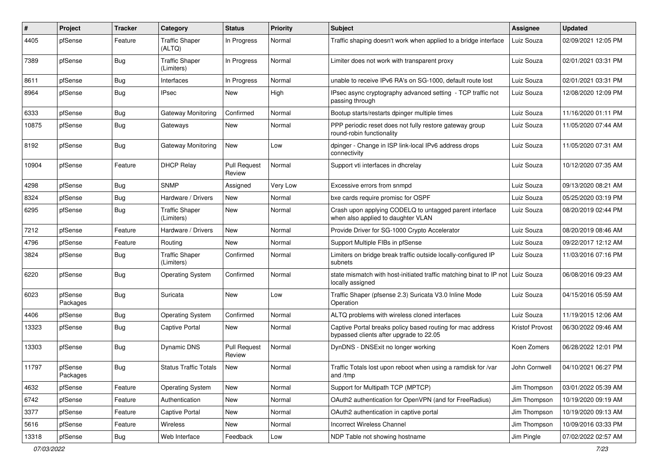| ∦     | Project             | <b>Tracker</b> | Category                            | <b>Status</b>                 | <b>Priority</b> | Subject                                                                                               | <b>Assignee</b> | <b>Updated</b>      |
|-------|---------------------|----------------|-------------------------------------|-------------------------------|-----------------|-------------------------------------------------------------------------------------------------------|-----------------|---------------------|
| 4405  | pfSense             | Feature        | <b>Traffic Shaper</b><br>(ALTQ)     | In Progress                   | Normal          | Traffic shaping doesn't work when applied to a bridge interface                                       | Luiz Souza      | 02/09/2021 12:05 PM |
| 7389  | pfSense             | Bug            | <b>Traffic Shaper</b><br>(Limiters) | In Progress                   | Normal          | Limiter does not work with transparent proxy                                                          | Luiz Souza      | 02/01/2021 03:31 PM |
| 8611  | pfSense             | <b>Bug</b>     | Interfaces                          | In Progress                   | Normal          | unable to receive IPv6 RA's on SG-1000, default route lost                                            | Luiz Souza      | 02/01/2021 03:31 PM |
| 8964  | pfSense             | <b>Bug</b>     | <b>IPsec</b>                        | New                           | High            | IPsec async cryptography advanced setting - TCP traffic not<br>passing through                        | Luiz Souza      | 12/08/2020 12:09 PM |
| 6333  | pfSense             | <b>Bug</b>     | Gateway Monitoring                  | Confirmed                     | Normal          | Bootup starts/restarts dpinger multiple times                                                         | Luiz Souza      | 11/16/2020 01:11 PM |
| 10875 | pfSense             | Bug            | Gateways                            | New                           | Normal          | PPP periodic reset does not fully restore gateway group<br>round-robin functionality                  | Luiz Souza      | 11/05/2020 07:44 AM |
| 8192  | pfSense             | Bug            | Gateway Monitoring                  | New                           | Low             | dpinger - Change in ISP link-local IPv6 address drops<br>connectivity                                 | Luiz Souza      | 11/05/2020 07:31 AM |
| 10904 | pfSense             | Feature        | <b>DHCP Relay</b>                   | <b>Pull Request</b><br>Review | Normal          | Support vti interfaces in dhcrelay                                                                    | Luiz Souza      | 10/12/2020 07:35 AM |
| 4298  | pfSense             | <b>Bug</b>     | <b>SNMP</b>                         | Assigned                      | Very Low        | Excessive errors from snmpd                                                                           | Luiz Souza      | 09/13/2020 08:21 AM |
| 8324  | pfSense             | <b>Bug</b>     | Hardware / Drivers                  | <b>New</b>                    | Normal          | bxe cards require promisc for OSPF                                                                    | Luiz Souza      | 05/25/2020 03:19 PM |
| 6295  | pfSense             | Bug            | <b>Traffic Shaper</b><br>(Limiters) | New                           | Normal          | Crash upon applying CODELQ to untagged parent interface<br>when also applied to daughter VLAN         | Luiz Souza      | 08/20/2019 02:44 PM |
| 7212  | pfSense             | Feature        | Hardware / Drivers                  | New                           | Normal          | Provide Driver for SG-1000 Crypto Accelerator                                                         | Luiz Souza      | 08/20/2019 08:46 AM |
| 4796  | pfSense             | Feature        | Routing                             | New                           | Normal          | Support Multiple FIBs in pfSense                                                                      | Luiz Souza      | 09/22/2017 12:12 AM |
| 3824  | pfSense             | <b>Bug</b>     | <b>Traffic Shaper</b><br>(Limiters) | Confirmed                     | Normal          | Limiters on bridge break traffic outside locally-configured IP<br>subnets                             | Luiz Souza      | 11/03/2016 07:16 PM |
| 6220  | pfSense             | Bug            | <b>Operating System</b>             | Confirmed                     | Normal          | state mismatch with host-initiated traffic matching binat to IP not<br>locally assigned               | Luiz Souza      | 06/08/2016 09:23 AM |
| 6023  | pfSense<br>Packages | i Bug          | Suricata                            | New                           | Low             | Traffic Shaper (pfsense 2.3) Suricata V3.0 Inline Mode<br>Operation                                   | Luiz Souza      | 04/15/2016 05:59 AM |
| 4406  | pfSense             | <b>Bug</b>     | <b>Operating System</b>             | Confirmed                     | Normal          | ALTQ problems with wireless cloned interfaces                                                         | Luiz Souza      | 11/19/2015 12:06 AM |
| 13323 | pfSense             | <b>Bug</b>     | <b>Captive Portal</b>               | New                           | Normal          | Captive Portal breaks policy based routing for mac address<br>bypassed clients after upgrade to 22.05 | Kristof Provost | 06/30/2022 09:46 AM |
| 13303 | pfSense             | Bug            | Dynamic DNS                         | <b>Pull Request</b><br>Review | Normal          | DynDNS - DNSExit no longer working                                                                    | Koen Zomers     | 06/28/2022 12:01 PM |
| 11797 | pfSense<br>Packages | <b>Bug</b>     | <b>Status Traffic Totals</b>        | New                           | Normal          | Traffic Totals lost upon reboot when using a ramdisk for /var<br>and /tmp                             | John Cornwell   | 04/10/2021 06:27 PM |
| 4632  | pfSense             | Feature        | <b>Operating System</b>             | New                           | Normal          | Support for Multipath TCP (MPTCP)                                                                     | Jim Thompson    | 03/01/2022 05:39 AM |
| 6742  | pfSense             | Feature        | Authentication                      | New                           | Normal          | OAuth2 authentication for OpenVPN (and for FreeRadius)                                                | Jim Thompson    | 10/19/2020 09:19 AM |
| 3377  | pfSense             | Feature        | <b>Captive Portal</b>               | New                           | Normal          | OAuth2 authentication in captive portal                                                               | Jim Thompson    | 10/19/2020 09:13 AM |
| 5616  | pfSense             | Feature        | Wireless                            | New                           | Normal          | Incorrect Wireless Channel                                                                            | Jim Thompson    | 10/09/2016 03:33 PM |
| 13318 | pfSense             | Bug            | Web Interface                       | Feedback                      | Low             | NDP Table not showing hostname                                                                        | Jim Pingle      | 07/02/2022 02:57 AM |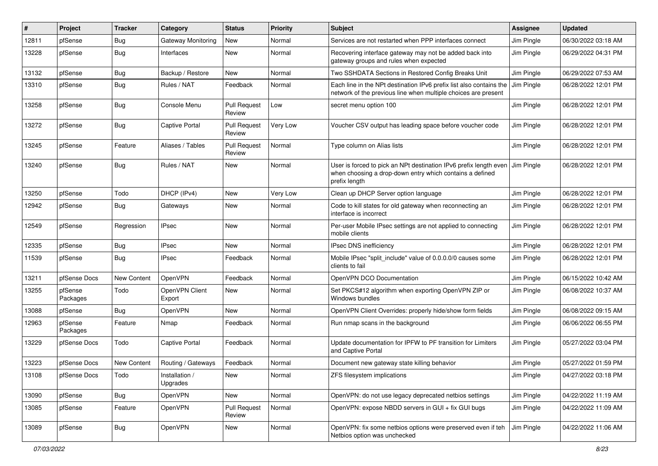| ∦     | Project             | <b>Tracker</b> | Category                   | <b>Status</b>                 | <b>Priority</b> | Subject                                                                                                                                                   | <b>Assignee</b> | <b>Updated</b>      |
|-------|---------------------|----------------|----------------------------|-------------------------------|-----------------|-----------------------------------------------------------------------------------------------------------------------------------------------------------|-----------------|---------------------|
| 12811 | pfSense             | <b>Bug</b>     | <b>Gateway Monitoring</b>  | New                           | Normal          | Services are not restarted when PPP interfaces connect                                                                                                    | Jim Pingle      | 06/30/2022 03:18 AM |
| 13228 | pfSense             | Bug            | Interfaces                 | New                           | Normal          | Recovering interface gateway may not be added back into<br>gateway groups and rules when expected                                                         | Jim Pingle      | 06/29/2022 04:31 PM |
| 13132 | pfSense             | <b>Bug</b>     | Backup / Restore           | New                           | Normal          | Two SSHDATA Sections in Restored Config Breaks Unit                                                                                                       | Jim Pingle      | 06/29/2022 07:53 AM |
| 13310 | pfSense             | Bug            | Rules / NAT                | Feedback                      | Normal          | Each line in the NPt destination IPv6 prefix list also contains the<br>network of the previous line when multiple choices are present                     | Jim Pingle      | 06/28/2022 12:01 PM |
| 13258 | pfSense             | Bug            | Console Menu               | <b>Pull Request</b><br>Review | Low             | secret menu option 100                                                                                                                                    | Jim Pingle      | 06/28/2022 12:01 PM |
| 13272 | pfSense             | <b>Bug</b>     | <b>Captive Portal</b>      | <b>Pull Request</b><br>Review | Very Low        | Voucher CSV output has leading space before voucher code                                                                                                  | Jim Pingle      | 06/28/2022 12:01 PM |
| 13245 | pfSense             | Feature        | Aliases / Tables           | <b>Pull Request</b><br>Review | Normal          | Type column on Alias lists                                                                                                                                | Jim Pingle      | 06/28/2022 12:01 PM |
| 13240 | pfSense             | Bug            | Rules / NAT                | New                           | Normal          | User is forced to pick an NPt destination IPv6 prefix length even Jim Pingle<br>when choosing a drop-down entry which contains a defined<br>prefix length |                 | 06/28/2022 12:01 PM |
| 13250 | pfSense             | Todo           | DHCP (IPv4)                | <b>New</b>                    | Very Low        | Clean up DHCP Server option language                                                                                                                      | Jim Pingle      | 06/28/2022 12:01 PM |
| 12942 | pfSense             | Bug            | Gateways                   | New                           | Normal          | Code to kill states for old gateway when reconnecting an<br>interface is incorrect                                                                        | Jim Pingle      | 06/28/2022 12:01 PM |
| 12549 | pfSense             | Regression     | <b>IPsec</b>               | <b>New</b>                    | Normal          | Per-user Mobile IPsec settings are not applied to connecting<br>mobile clients                                                                            | Jim Pingle      | 06/28/2022 12:01 PM |
| 12335 | pfSense             | <b>Bug</b>     | <b>IPsec</b>               | New                           | Normal          | IPsec DNS inefficiency                                                                                                                                    | Jim Pingle      | 06/28/2022 12:01 PM |
| 11539 | pfSense             | <b>Bug</b>     | <b>IPsec</b>               | Feedback                      | Normal          | Mobile IPsec "split_include" value of 0.0.0.0/0 causes some<br>clients to fail                                                                            | Jim Pingle      | 06/28/2022 12:01 PM |
| 13211 | pfSense Docs        | New Content    | OpenVPN                    | Feedback                      | Normal          | OpenVPN DCO Documentation                                                                                                                                 | Jim Pingle      | 06/15/2022 10:42 AM |
| 13255 | pfSense<br>Packages | Todo           | OpenVPN Client<br>Export   | New                           | Normal          | Set PKCS#12 algorithm when exporting OpenVPN ZIP or<br>Windows bundles                                                                                    | Jim Pingle      | 06/08/2022 10:37 AM |
| 13088 | pfSense             | <b>Bug</b>     | OpenVPN                    | New                           | Normal          | OpenVPN Client Overrides: properly hide/show form fields                                                                                                  | Jim Pingle      | 06/08/2022 09:15 AM |
| 12963 | pfSense<br>Packages | Feature        | Nmap                       | Feedback                      | Normal          | Run nmap scans in the background                                                                                                                          | Jim Pingle      | 06/06/2022 06:55 PM |
| 13229 | pfSense Docs        | Todo           | Captive Portal             | Feedback                      | Normal          | Update documentation for IPFW to PF transition for Limiters<br>and Captive Portal                                                                         | Jim Pingle      | 05/27/2022 03:04 PM |
| 13223 | pfSense Docs        | New Content    | Routing / Gateways         | Feedback                      | Normal          | Document new gateway state killing behavior                                                                                                               | Jim Pingle      | 05/27/2022 01:59 PM |
| 13108 | pfSense Docs        | Todo           | Installation /<br>Upgrades | New                           | Normal          | ZFS filesystem implications                                                                                                                               | Jim Pingle      | 04/27/2022 03:18 PM |
| 13090 | pfSense             | Bug            | OpenVPN                    | New                           | Normal          | OpenVPN: do not use legacy deprecated netbios settings                                                                                                    | Jim Pingle      | 04/22/2022 11:19 AM |
| 13085 | pfSense             | Feature        | OpenVPN                    | <b>Pull Request</b><br>Review | Normal          | OpenVPN: expose NBDD servers in GUI + fix GUI bugs                                                                                                        | Jim Pingle      | 04/22/2022 11:09 AM |
| 13089 | pfSense             | Bug            | OpenVPN                    | New                           | Normal          | OpenVPN: fix some netbios options were preserved even if teh<br>Netbios option was unchecked                                                              | Jim Pingle      | 04/22/2022 11:06 AM |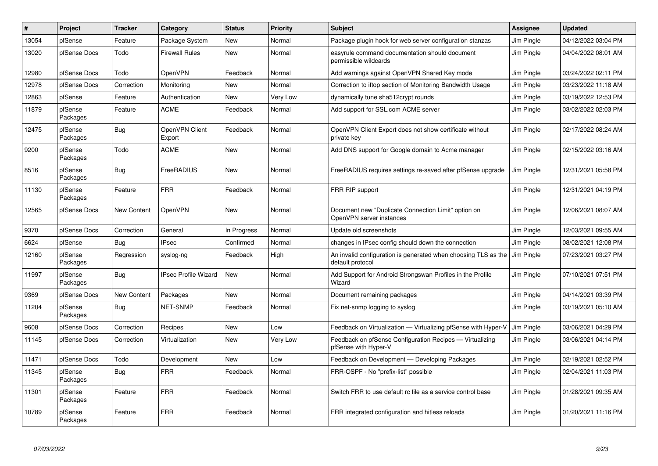| #     | <b>Project</b>      | <b>Tracker</b>     | Category                    | <b>Status</b> | Priority | <b>Subject</b>                                                                     | <b>Assignee</b> | <b>Updated</b>      |
|-------|---------------------|--------------------|-----------------------------|---------------|----------|------------------------------------------------------------------------------------|-----------------|---------------------|
| 13054 | pfSense             | Feature            | Package System              | New           | Normal   | Package plugin hook for web server configuration stanzas                           | Jim Pingle      | 04/12/2022 03:04 PM |
| 13020 | pfSense Docs        | Todo               | <b>Firewall Rules</b>       | <b>New</b>    | Normal   | easyrule command documentation should document<br>permissible wildcards            | Jim Pingle      | 04/04/2022 08:01 AM |
| 12980 | pfSense Docs        | Todo               | OpenVPN                     | Feedback      | Normal   | Add warnings against OpenVPN Shared Key mode                                       | Jim Pingle      | 03/24/2022 02:11 PM |
| 12978 | pfSense Docs        | Correction         | Monitoring                  | <b>New</b>    | Normal   | Correction to iftop section of Monitoring Bandwidth Usage                          | Jim Pingle      | 03/23/2022 11:18 AM |
| 12863 | pfSense             | Feature            | Authentication              | New           | Very Low | dynamically tune sha512crypt rounds                                                | Jim Pingle      | 03/19/2022 12:53 PM |
| 11879 | pfSense<br>Packages | Feature            | <b>ACME</b>                 | Feedback      | Normal   | Add support for SSL.com ACME server                                                | Jim Pingle      | 03/02/2022 02:03 PM |
| 12475 | pfSense<br>Packages | <b>Bug</b>         | OpenVPN Client<br>Export    | Feedback      | Normal   | OpenVPN Client Export does not show certificate without<br>private key             | Jim Pingle      | 02/17/2022 08:24 AM |
| 9200  | pfSense<br>Packages | Todo               | <b>ACME</b>                 | <b>New</b>    | Normal   | Add DNS support for Google domain to Acme manager                                  | Jim Pingle      | 02/15/2022 03:16 AM |
| 8516  | pfSense<br>Packages | Bug                | FreeRADIUS                  | New           | Normal   | FreeRADIUS requires settings re-saved after pfSense upgrade                        | Jim Pingle      | 12/31/2021 05:58 PM |
| 11130 | pfSense<br>Packages | Feature            | <b>FRR</b>                  | Feedback      | Normal   | FRR RIP support                                                                    | Jim Pingle      | 12/31/2021 04:19 PM |
| 12565 | pfSense Docs        | <b>New Content</b> | OpenVPN                     | New           | Normal   | Document new "Duplicate Connection Limit" option on<br>OpenVPN server instances    | Jim Pingle      | 12/06/2021 08:07 AM |
| 9370  | pfSense Docs        | Correction         | General                     | In Progress   | Normal   | Update old screenshots                                                             | Jim Pingle      | 12/03/2021 09:55 AM |
| 6624  | pfSense             | <b>Bug</b>         | <b>IPsec</b>                | Confirmed     | Normal   | changes in IPsec config should down the connection                                 | Jim Pingle      | 08/02/2021 12:08 PM |
| 12160 | pfSense<br>Packages | Regression         | syslog-ng                   | Feedback      | High     | An invalid configuration is generated when choosing TLS as the<br>default protocol | Jim Pingle      | 07/23/2021 03:27 PM |
| 11997 | pfSense<br>Packages | Bug                | <b>IPsec Profile Wizard</b> | <b>New</b>    | Normal   | Add Support for Android Strongswan Profiles in the Profile<br>Wizard               | Jim Pingle      | 07/10/2021 07:51 PM |
| 9369  | pfSense Docs        | <b>New Content</b> | Packages                    | <b>New</b>    | Normal   | Document remaining packages                                                        | Jim Pingle      | 04/14/2021 03:39 PM |
| 11204 | pfSense<br>Packages | Bug                | <b>NET-SNMP</b>             | Feedback      | Normal   | Fix net-snmp logging to syslog                                                     | Jim Pingle      | 03/19/2021 05:10 AM |
| 9608  | pfSense Docs        | Correction         | Recipes                     | New           | Low      | Feedback on Virtualization - Virtualizing pfSense with Hyper-V                     | Jim Pingle      | 03/06/2021 04:29 PM |
| 11145 | pfSense Docs        | Correction         | Virtualization              | <b>New</b>    | Very Low | Feedback on pfSense Configuration Recipes - Virtualizing<br>pfSense with Hyper-V   | Jim Pingle      | 03/06/2021 04:14 PM |
| 11471 | pfSense Docs        | Todo               | Development                 | <b>New</b>    | Low      | Feedback on Development - Developing Packages                                      | Jim Pingle      | 02/19/2021 02:52 PM |
| 11345 | pfSense<br>Packages | Bug                | <b>FRR</b>                  | Feedback      | Normal   | FRR-OSPF - No "prefix-list" possible                                               | Jim Pingle      | 02/04/2021 11:03 PM |
| 11301 | pfSense<br>Packages | Feature            | <b>FRR</b>                  | Feedback      | Normal   | Switch FRR to use default rc file as a service control base                        | Jim Pingle      | 01/28/2021 09:35 AM |
| 10789 | pfSense<br>Packages | Feature            | <b>FRR</b>                  | Feedback      | Normal   | FRR integrated configuration and hitless reloads                                   | Jim Pingle      | 01/20/2021 11:16 PM |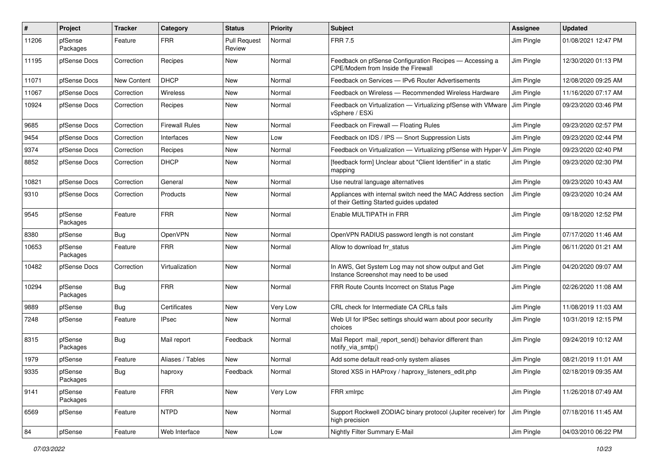| #     | Project             | <b>Tracker</b>     | Category              | <b>Status</b>                 | <b>Priority</b> | <b>Subject</b>                                                                                          | Assignee   | <b>Updated</b>      |
|-------|---------------------|--------------------|-----------------------|-------------------------------|-----------------|---------------------------------------------------------------------------------------------------------|------------|---------------------|
| 11206 | pfSense<br>Packages | Feature            | <b>FRR</b>            | <b>Pull Request</b><br>Review | Normal          | <b>FRR 7.5</b>                                                                                          | Jim Pingle | 01/08/2021 12:47 PM |
| 11195 | pfSense Docs        | Correction         | Recipes               | New                           | Normal          | Feedback on pfSense Configuration Recipes - Accessing a<br>CPE/Modem from Inside the Firewall           | Jim Pingle | 12/30/2020 01:13 PM |
| 11071 | pfSense Docs        | <b>New Content</b> | <b>DHCP</b>           | New                           | Normal          | Feedback on Services - IPv6 Router Advertisements                                                       | Jim Pingle | 12/08/2020 09:25 AM |
| 11067 | pfSense Docs        | Correction         | <b>Wireless</b>       | New                           | Normal          | Feedback on Wireless — Recommended Wireless Hardware                                                    | Jim Pingle | 11/16/2020 07:17 AM |
| 10924 | pfSense Docs        | Correction         | Recipes               | New                           | Normal          | Feedback on Virtualization - Virtualizing pfSense with VMware<br>vSphere / ESXi                         | Jim Pingle | 09/23/2020 03:46 PM |
| 9685  | pfSense Docs        | Correction         | <b>Firewall Rules</b> | New                           | Normal          | Feedback on Firewall - Floating Rules                                                                   | Jim Pingle | 09/23/2020 02:57 PM |
| 9454  | pfSense Docs        | Correction         | Interfaces            | New                           | Low             | Feedback on IDS / IPS - Snort Suppression Lists                                                         | Jim Pingle | 09/23/2020 02:44 PM |
| 9374  | pfSense Docs        | Correction         | Recipes               | New                           | Normal          | Feedback on Virtualization - Virtualizing pfSense with Hyper-V                                          | Jim Pingle | 09/23/2020 02:40 PM |
| 8852  | pfSense Docs        | Correction         | <b>DHCP</b>           | New                           | Normal          | [feedback form] Unclear about "Client Identifier" in a static<br>mapping                                | Jim Pingle | 09/23/2020 02:30 PM |
| 10821 | pfSense Docs        | Correction         | General               | New                           | Normal          | Use neutral language alternatives                                                                       | Jim Pingle | 09/23/2020 10:43 AM |
| 9310  | pfSense Docs        | Correction         | Products              | New                           | Normal          | Appliances with internal switch need the MAC Address section<br>of their Getting Started guides updated | Jim Pingle | 09/23/2020 10:24 AM |
| 9545  | pfSense<br>Packages | Feature            | <b>FRR</b>            | New                           | Normal          | Enable MULTIPATH in FRR                                                                                 | Jim Pingle | 09/18/2020 12:52 PM |
| 8380  | pfSense             | <b>Bug</b>         | OpenVPN               | New                           | Normal          | OpenVPN RADIUS password length is not constant                                                          | Jim Pingle | 07/17/2020 11:46 AM |
| 10653 | pfSense<br>Packages | Feature            | <b>FRR</b>            | New                           | Normal          | Allow to download frr status                                                                            | Jim Pingle | 06/11/2020 01:21 AM |
| 10482 | pfSense Docs        | Correction         | Virtualization        | <b>New</b>                    | Normal          | In AWS, Get System Log may not show output and Get<br>Instance Screenshot may need to be used           | Jim Pingle | 04/20/2020 09:07 AM |
| 10294 | pfSense<br>Packages | Bug                | <b>FRR</b>            | <b>New</b>                    | Normal          | FRR Route Counts Incorrect on Status Page                                                               | Jim Pingle | 02/26/2020 11:08 AM |
| 9889  | pfSense             | Bug                | Certificates          | New                           | Very Low        | CRL check for Intermediate CA CRLs fails                                                                | Jim Pingle | 11/08/2019 11:03 AM |
| 7248  | pfSense             | Feature            | <b>IPsec</b>          | New                           | Normal          | Web UI for IPSec settings should warn about poor security<br>choices                                    | Jim Pingle | 10/31/2019 12:15 PM |
| 8315  | pfSense<br>Packages | Bug                | Mail report           | Feedback                      | Normal          | Mail Report mail_report_send() behavior different than<br>notify_via_smtp()                             | Jim Pingle | 09/24/2019 10:12 AM |
| 1979  | pfSense             | Feature            | Aliases / Tables      | New                           | Normal          | Add some default read-only system aliases                                                               | Jim Pingle | 08/21/2019 11:01 AM |
| 9335  | pfSense<br>Packages | Bug                | haproxy               | Feedback                      | Normal          | Stored XSS in HAProxy / haproxy_listeners_edit.php                                                      | Jim Pingle | 02/18/2019 09:35 AM |
| 9141  | pfSense<br>Packages | Feature            | <b>FRR</b>            | New                           | Very Low        | FRR xmlrpc                                                                                              | Jim Pingle | 11/26/2018 07:49 AM |
| 6569  | pfSense             | Feature            | <b>NTPD</b>           | New                           | Normal          | Support Rockwell ZODIAC binary protocol (Jupiter receiver) for<br>high precision                        | Jim Pingle | 07/18/2016 11:45 AM |
| 84    | pfSense             | Feature            | Web Interface         | New                           | Low             | Nightly Filter Summary E-Mail                                                                           | Jim Pingle | 04/03/2010 06:22 PM |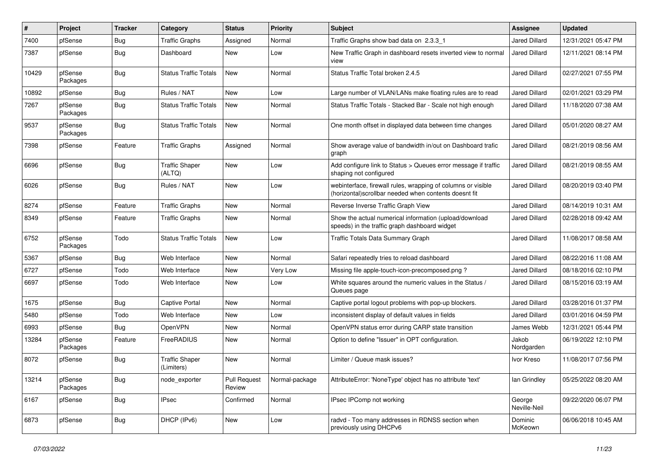| #     | Project             | <b>Tracker</b> | Category                            | <b>Status</b>                 | <b>Priority</b> | Subject                                                                                                                | <b>Assignee</b>        | <b>Updated</b>      |
|-------|---------------------|----------------|-------------------------------------|-------------------------------|-----------------|------------------------------------------------------------------------------------------------------------------------|------------------------|---------------------|
| 7400  | pfSense             | <b>Bug</b>     | <b>Traffic Graphs</b>               | Assigned                      | Normal          | Traffic Graphs show bad data on 2.3.3 1                                                                                | Jared Dillard          | 12/31/2021 05:47 PM |
| 7387  | pfSense             | Bug            | Dashboard                           | New                           | Low             | New Traffic Graph in dashboard resets inverted view to normal<br>view                                                  | Jared Dillard          | 12/11/2021 08:14 PM |
| 10429 | pfSense<br>Packages | Bug            | <b>Status Traffic Totals</b>        | New                           | Normal          | Status Traffic Total broken 2.4.5                                                                                      | <b>Jared Dillard</b>   | 02/27/2021 07:55 PM |
| 10892 | pfSense             | Bug            | Rules / NAT                         | New                           | Low             | Large number of VLAN/LANs make floating rules are to read                                                              | Jared Dillard          | 02/01/2021 03:29 PM |
| 7267  | pfSense<br>Packages | Bug            | <b>Status Traffic Totals</b>        | New                           | Normal          | Status Traffic Totals - Stacked Bar - Scale not high enough                                                            | Jared Dillard          | 11/18/2020 07:38 AM |
| 9537  | pfSense<br>Packages | I Bug          | <b>Status Traffic Totals</b>        | <b>New</b>                    | Normal          | One month offset in displayed data between time changes                                                                | Jared Dillard          | 05/01/2020 08:27 AM |
| 7398  | pfSense             | Feature        | Traffic Graphs                      | Assigned                      | Normal          | Show average value of bandwidth in/out on Dashboard trafic<br>graph                                                    | <b>Jared Dillard</b>   | 08/21/2019 08:56 AM |
| 6696  | pfSense             | Bug            | <b>Traffic Shaper</b><br>(ALTQ)     | New                           | Low             | Add configure link to Status > Queues error message if traffic<br>shaping not configured                               | <b>Jared Dillard</b>   | 08/21/2019 08:55 AM |
| 6026  | pfSense             | Bug            | Rules / NAT                         | New                           | Low             | webinterface, firewall rules, wrapping of columns or visible<br>(horizontal) scrollbar needed when contents doesnt fit | <b>Jared Dillard</b>   | 08/20/2019 03:40 PM |
| 8274  | pfSense             | Feature        | <b>Traffic Graphs</b>               | New                           | Normal          | Reverse Inverse Traffic Graph View                                                                                     | Jared Dillard          | 08/14/2019 10:31 AM |
| 8349  | pfSense             | Feature        | <b>Traffic Graphs</b>               | New                           | Normal          | Show the actual numerical information (upload/download<br>speeds) in the traffic graph dashboard widget                | Jared Dillard          | 02/28/2018 09:42 AM |
| 6752  | pfSense<br>Packages | Todo           | <b>Status Traffic Totals</b>        | New                           | Low             | Traffic Totals Data Summary Graph                                                                                      | Jared Dillard          | 11/08/2017 08:58 AM |
| 5367  | pfSense             | <b>Bug</b>     | Web Interface                       | New                           | Normal          | Safari repeatedly tries to reload dashboard                                                                            | <b>Jared Dillard</b>   | 08/22/2016 11:08 AM |
| 6727  | pfSense             | Todo           | Web Interface                       | New                           | Very Low        | Missing file apple-touch-icon-precomposed.png?                                                                         | <b>Jared Dillard</b>   | 08/18/2016 02:10 PM |
| 6697  | pfSense             | Todo           | Web Interface                       | New                           | Low             | White squares around the numeric values in the Status /<br>Queues page                                                 | Jared Dillard          | 08/15/2016 03:19 AM |
| 1675  | pfSense             | <b>Bug</b>     | <b>Captive Portal</b>               | New                           | Normal          | Captive portal logout problems with pop-up blockers.                                                                   | <b>Jared Dillard</b>   | 03/28/2016 01:37 PM |
| 5480  | pfSense             | Todo           | Web Interface                       | New                           | Low             | inconsistent display of default values in fields                                                                       | <b>Jared Dillard</b>   | 03/01/2016 04:59 PM |
| 6993  | pfSense             | Bug            | <b>OpenVPN</b>                      | New                           | Normal          | OpenVPN status error during CARP state transition                                                                      | James Webb             | 12/31/2021 05:44 PM |
| 13284 | pfSense<br>Packages | Feature        | FreeRADIUS                          | New                           | Normal          | Option to define "Issuer" in OPT configuration.                                                                        | Jakob<br>Nordgarden    | 06/19/2022 12:10 PM |
| 8072  | pfSense             | <b>Bug</b>     | <b>Traffic Shaper</b><br>(Limiters) | New                           | Normal          | Limiter / Queue mask issues?                                                                                           | Ivor Kreso             | 11/08/2017 07:56 PM |
| 13214 | pfSense<br>Packages | <b>Bug</b>     | node_exporter                       | <b>Pull Request</b><br>Review | Normal-package  | AttributeError: 'NoneType' object has no attribute 'text'                                                              | lan Grindley           | 05/25/2022 08:20 AM |
| 6167  | pfSense             | <b>Bug</b>     | <b>IPsec</b>                        | Confirmed                     | Normal          | IPsec IPComp not working                                                                                               | George<br>Neville-Neil | 09/22/2020 06:07 PM |
| 6873  | pfSense             | Bug            | DHCP (IPv6)                         | New                           | Low             | radvd - Too many addresses in RDNSS section when<br>previously using DHCPv6                                            | Dominic<br>McKeown     | 06/06/2018 10:45 AM |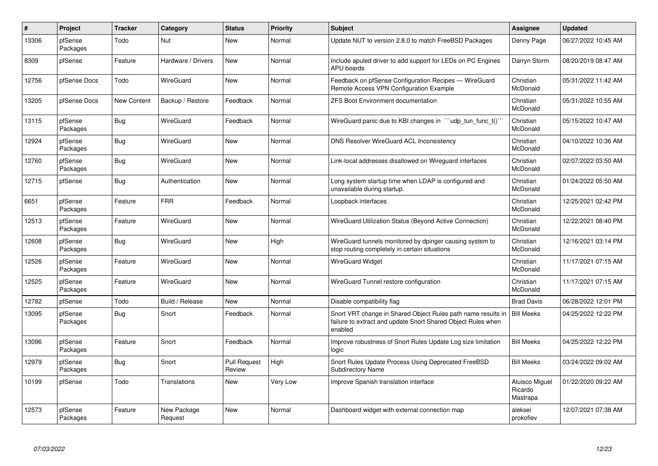| $\#$  | Project             | <b>Tracker</b>     | Category               | <b>Status</b>                 | <b>Priority</b> | <b>Subject</b>                                                                                                                          | <b>Assignee</b>                       | <b>Updated</b>      |
|-------|---------------------|--------------------|------------------------|-------------------------------|-----------------|-----------------------------------------------------------------------------------------------------------------------------------------|---------------------------------------|---------------------|
| 13306 | pfSense<br>Packages | Todo               | Nut                    | New                           | Normal          | Update NUT to version 2.8.0 to match FreeBSD Packages                                                                                   | Denny Page                            | 06/27/2022 10:45 AM |
| 8309  | pfSense             | Feature            | Hardware / Drivers     | New                           | Normal          | Include apuled driver to add support for LEDs on PC Engines<br><b>APU</b> boards                                                        | Darryn Storm                          | 08/20/2019 08:47 AM |
| 12756 | pfSense Docs        | Todo               | WireGuard              | New                           | Normal          | Feedback on pfSense Configuration Recipes - WireGuard<br>Remote Access VPN Configuration Example                                        | Christian<br>McDonald                 | 05/31/2022 11:42 AM |
| 13205 | pfSense Docs        | <b>New Content</b> | Backup / Restore       | Feedback                      | Normal          | <b>ZFS Boot Environment documentation</b>                                                                                               | Christian<br>McDonald                 | 05/31/2022 10:55 AM |
| 13115 | pfSense<br>Packages | Bug                | WireGuard              | Feedback                      | Normal          | WireGuard panic due to KBI changes in "'udp_tun_func_t()"                                                                               | Christian<br>McDonald                 | 05/15/2022 10:47 AM |
| 12924 | pfSense<br>Packages | Bug                | WireGuard              | New                           | Normal          | DNS Resolver WireGuard ACL Inconsistency                                                                                                | Christian<br>McDonald                 | 04/10/2022 10:36 AM |
| 12760 | pfSense<br>Packages | Bug                | WireGuard              | New                           | Normal          | Link-local addresses disallowed on Wireguard interfaces                                                                                 | Christian<br>McDonald                 | 02/07/2022 03:50 AM |
| 12715 | pfSense             | <b>Bug</b>         | Authentication         | <b>New</b>                    | Normal          | Long system startup time when LDAP is configured and<br>unavailable during startup.                                                     | Christian<br>McDonald                 | 01/24/2022 05:50 AM |
| 6651  | pfSense<br>Packages | Feature            | <b>FRR</b>             | Feedback                      | Normal          | Loopback interfaces                                                                                                                     | Christian<br>McDonald                 | 12/25/2021 02:42 PM |
| 12513 | pfSense<br>Packages | Feature            | WireGuard              | New                           | Normal          | WireGuard Utilization Status (Beyond Active Connection)                                                                                 | Christian<br>McDonald                 | 12/22/2021 08:40 PM |
| 12608 | pfSense<br>Packages | <b>Bug</b>         | WireGuard              | New                           | High            | WireGuard tunnels monitored by dpinger causing system to<br>stop routing completely in certain situations                               | Christian<br>McDonald                 | 12/16/2021 03:14 PM |
| 12526 | pfSense<br>Packages | Feature            | WireGuard              | New                           | Normal          | WireGuard Widget                                                                                                                        | Christian<br>McDonald                 | 11/17/2021 07:15 AM |
| 12525 | pfSense<br>Packages | Feature            | WireGuard              | New                           | Normal          | WireGuard Tunnel restore configuration                                                                                                  | Christian<br>McDonald                 | 11/17/2021 07:15 AM |
| 12782 | pfSense             | Todo               | Build / Release        | New                           | Normal          | Disable compatibility flag                                                                                                              | <b>Brad Davis</b>                     | 06/28/2022 12:01 PM |
| 13095 | pfSense<br>Packages | <b>Bug</b>         | Snort                  | Feedback                      | Normal          | Snort VRT change in Shared Object Rules path name results in<br>failure to extract and update Snort Shared Object Rules when<br>enabled | <b>Bill Meeks</b>                     | 04/25/2022 12:22 PM |
| 13096 | pfSense<br>Packages | Feature            | Snort                  | Feedback                      | Normal          | Improve robustness of Snort Rules Update Log size limitation<br>logic                                                                   | <b>Bill Meeks</b>                     | 04/25/2022 12:22 PM |
| 12979 | pfSense<br>Packages | <b>Bug</b>         | Snort                  | <b>Pull Request</b><br>Review | High            | Snort Rules Update Process Using Deprecated FreeBSD<br><b>Subdirectory Name</b>                                                         | <b>Bill Meeks</b>                     | 03/24/2022 09:02 AM |
| 10199 | pfSense             | Todo               | <b>Translations</b>    | New                           | Very Low        | Improve Spanish translation interface                                                                                                   | Aluisco Miguel<br>Ricardo<br>Mastrapa | 01/22/2020 09:22 AM |
| 12573 | pfSense<br>Packages | Feature            | New Package<br>Request | New                           | Normal          | Dashboard widget with external connection map                                                                                           | aleksei<br>prokofiev                  | 12/07/2021 07:38 AM |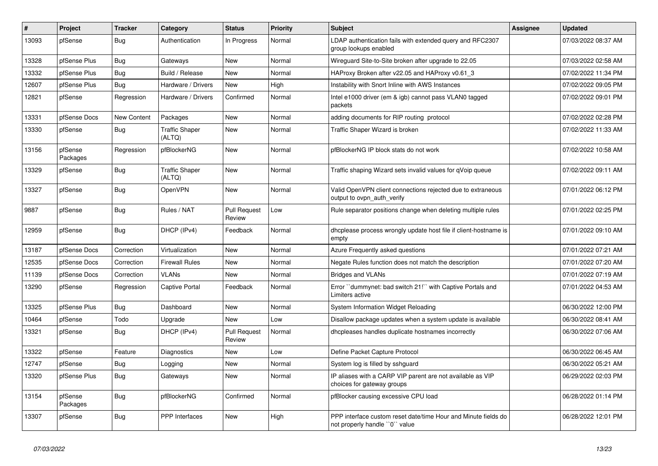| $\sharp$ | Project             | <b>Tracker</b>     | Category                        | <b>Status</b>                 | <b>Priority</b> | <b>Subject</b>                                                                                  | <b>Assignee</b> | <b>Updated</b>      |
|----------|---------------------|--------------------|---------------------------------|-------------------------------|-----------------|-------------------------------------------------------------------------------------------------|-----------------|---------------------|
| 13093    | pfSense             | <b>Bug</b>         | Authentication                  | In Progress                   | Normal          | LDAP authentication fails with extended query and RFC2307<br>group lookups enabled              |                 | 07/03/2022 08:37 AM |
| 13328    | pfSense Plus        | Bug                | Gateways                        | New                           | Normal          | Wireguard Site-to-Site broken after upgrade to 22.05                                            |                 | 07/03/2022 02:58 AM |
| 13332    | pfSense Plus        | Bug                | Build / Release                 | New                           | Normal          | HAProxy Broken after v22.05 and HAProxy v0.61_3                                                 |                 | 07/02/2022 11:34 PM |
| 12607    | pfSense Plus        | <b>Bug</b>         | Hardware / Drivers              | New                           | High            | Instability with Snort Inline with AWS Instances                                                |                 | 07/02/2022 09:05 PM |
| 12821    | pfSense             | Regression         | Hardware / Drivers              | Confirmed                     | Normal          | Intel e1000 driver (em & igb) cannot pass VLAN0 tagged<br>packets                               |                 | 07/02/2022 09:01 PM |
| 13331    | pfSense Docs        | <b>New Content</b> | Packages                        | New                           | Normal          | adding documents for RIP routing protocol                                                       |                 | 07/02/2022 02:28 PM |
| 13330    | pfSense             | Bug                | <b>Traffic Shaper</b><br>(ALTQ) | New                           | Normal          | Traffic Shaper Wizard is broken                                                                 |                 | 07/02/2022 11:33 AM |
| 13156    | pfSense<br>Packages | Regression         | pfBlockerNG                     | New                           | Normal          | pfBlockerNG IP block stats do not work                                                          |                 | 07/02/2022 10:58 AM |
| 13329    | pfSense             | <b>Bug</b>         | <b>Traffic Shaper</b><br>(ALTQ) | New                           | Normal          | Traffic shaping Wizard sets invalid values for qVoip queue                                      |                 | 07/02/2022 09:11 AM |
| 13327    | pfSense             | <b>Bug</b>         | OpenVPN                         | New                           | Normal          | Valid OpenVPN client connections rejected due to extraneous<br>output to ovpn_auth_verify       |                 | 07/01/2022 06:12 PM |
| 9887     | pfSense             | Bug                | Rules / NAT                     | <b>Pull Request</b><br>Review | Low             | Rule separator positions change when deleting multiple rules                                    |                 | 07/01/2022 02:25 PM |
| 12959    | pfSense             | <b>Bug</b>         | DHCP (IPv4)                     | Feedback                      | Normal          | dhcplease process wrongly update host file if client-hostname is<br>empty                       |                 | 07/01/2022 09:10 AM |
| 13187    | pfSense Docs        | Correction         | Virtualization                  | New                           | Normal          | Azure Frequently asked questions                                                                |                 | 07/01/2022 07:21 AM |
| 12535    | pfSense Docs        | Correction         | <b>Firewall Rules</b>           | New                           | Normal          | Negate Rules function does not match the description                                            |                 | 07/01/2022 07:20 AM |
| 11139    | pfSense Docs        | Correction         | <b>VLANs</b>                    | New                           | Normal          | <b>Bridges and VLANs</b>                                                                        |                 | 07/01/2022 07:19 AM |
| 13290    | pfSense             | Regression         | <b>Captive Portal</b>           | Feedback                      | Normal          | Error "dummynet: bad switch 21!" with Captive Portals and<br>Limiters active                    |                 | 07/01/2022 04:53 AM |
| 13325    | pfSense Plus        | <b>Bug</b>         | Dashboard                       | New                           | Normal          | System Information Widget Reloading                                                             |                 | 06/30/2022 12:00 PM |
| 10464    | pfSense             | Todo               | Upgrade                         | New                           | Low             | Disallow package updates when a system update is available                                      |                 | 06/30/2022 08:41 AM |
| 13321    | pfSense             | Bug                | DHCP (IPv4)                     | <b>Pull Request</b><br>Review | Normal          | dhcpleases handles duplicate hostnames incorrectly                                              |                 | 06/30/2022 07:06 AM |
| 13322    | pfSense             | Feature            | Diagnostics                     | New                           | Low             | Define Packet Capture Protocol                                                                  |                 | 06/30/2022 06:45 AM |
| 12747    | pfSense             | <b>Bug</b>         | Logging                         | New                           | Normal          | System log is filled by sshguard                                                                |                 | 06/30/2022 05:21 AM |
| 13320    | pfSense Plus        | <b>Bug</b>         | Gateways                        | New                           | Normal          | IP aliases with a CARP VIP parent are not available as VIP<br>choices for gateway groups        |                 | 06/29/2022 02:03 PM |
| 13154    | pfSense<br>Packages | <b>Bug</b>         | pfBlockerNG                     | Confirmed                     | Normal          | pfBlocker causing excessive CPU load                                                            |                 | 06/28/2022 01:14 PM |
| 13307    | pfSense             | <b>Bug</b>         | <b>PPP</b> Interfaces           | New                           | High            | PPP interface custom reset date/time Hour and Minute fields do<br>not properly handle "0" value |                 | 06/28/2022 12:01 PM |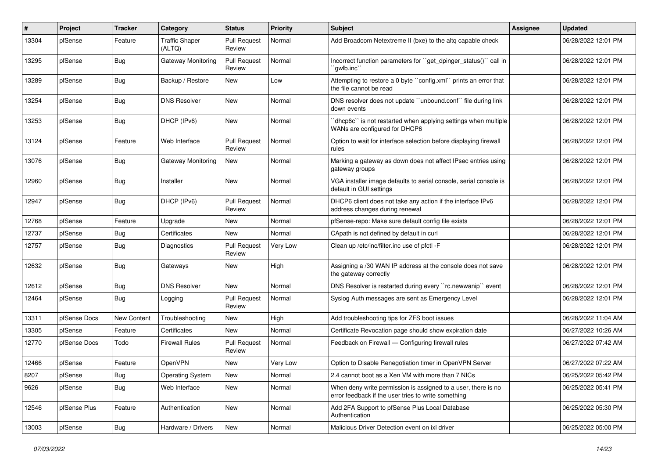| ∦     | Project      | <b>Tracker</b> | Category                        | <b>Status</b>                 | <b>Priority</b> | Subject                                                                                                              | <b>Assignee</b> | <b>Updated</b>      |
|-------|--------------|----------------|---------------------------------|-------------------------------|-----------------|----------------------------------------------------------------------------------------------------------------------|-----------------|---------------------|
| 13304 | pfSense      | Feature        | <b>Traffic Shaper</b><br>(ALTQ) | <b>Pull Request</b><br>Review | Normal          | Add Broadcom Netextreme II (bxe) to the altq capable check                                                           |                 | 06/28/2022 12:01 PM |
| 13295 | pfSense      | <b>Bug</b>     | <b>Gateway Monitoring</b>       | <b>Pull Request</b><br>Review | Normal          | Incorrect function parameters for "get dpinger status()" call in<br>`qwlb.inc`                                       |                 | 06/28/2022 12:01 PM |
| 13289 | pfSense      | <b>Bug</b>     | Backup / Restore                | New                           | Low             | Attempting to restore a 0 byte "config.xml" prints an error that<br>the file cannot be read                          |                 | 06/28/2022 12:01 PM |
| 13254 | pfSense      | Bug            | <b>DNS Resolver</b>             | New                           | Normal          | DNS resolver does not update "unbound.conf" file during link<br>down events                                          |                 | 06/28/2022 12:01 PM |
| 13253 | pfSense      | <b>Bug</b>     | DHCP (IPv6)                     | New                           | Normal          | 'dhcp6c'' is not restarted when applying settings when multiple<br>WANs are configured for DHCP6                     |                 | 06/28/2022 12:01 PM |
| 13124 | pfSense      | Feature        | Web Interface                   | <b>Pull Request</b><br>Review | Normal          | Option to wait for interface selection before displaying firewall<br>rules                                           |                 | 06/28/2022 12:01 PM |
| 13076 | pfSense      | <b>Bug</b>     | <b>Gateway Monitoring</b>       | New                           | Normal          | Marking a gateway as down does not affect IPsec entries using<br>gateway groups                                      |                 | 06/28/2022 12:01 PM |
| 12960 | pfSense      | Bug            | Installer                       | New                           | Normal          | VGA installer image defaults to serial console, serial console is<br>default in GUI settings                         |                 | 06/28/2022 12:01 PM |
| 12947 | pfSense      | <b>Bug</b>     | DHCP (IPv6)                     | <b>Pull Request</b><br>Review | Normal          | DHCP6 client does not take any action if the interface IPv6<br>address changes during renewal                        |                 | 06/28/2022 12:01 PM |
| 12768 | pfSense      | Feature        | Upgrade                         | New                           | Normal          | pfSense-repo: Make sure default config file exists                                                                   |                 | 06/28/2022 12:01 PM |
| 12737 | pfSense      | <b>Bug</b>     | Certificates                    | New                           | Normal          | CApath is not defined by default in curl                                                                             |                 | 06/28/2022 12:01 PM |
| 12757 | pfSense      | Bug            | <b>Diagnostics</b>              | <b>Pull Request</b><br>Review | Very Low        | Clean up /etc/inc/filter.inc use of pfctl -F                                                                         |                 | 06/28/2022 12:01 PM |
| 12632 | pfSense      | Bug            | Gateways                        | New                           | High            | Assigning a /30 WAN IP address at the console does not save<br>the gateway correctly                                 |                 | 06/28/2022 12:01 PM |
| 12612 | pfSense      | <b>Bug</b>     | <b>DNS Resolver</b>             | New                           | Normal          | DNS Resolver is restarted during every "rc.newwanip" event                                                           |                 | 06/28/2022 12:01 PM |
| 12464 | pfSense      | Bug            | Logging                         | <b>Pull Request</b><br>Review | Normal          | Syslog Auth messages are sent as Emergency Level                                                                     |                 | 06/28/2022 12:01 PM |
| 13311 | pfSense Docs | New Content    | Troubleshooting                 | New                           | High            | Add troubleshooting tips for ZFS boot issues                                                                         |                 | 06/28/2022 11:04 AM |
| 13305 | pfSense      | Feature        | Certificates                    | New                           | Normal          | Certificate Revocation page should show expiration date                                                              |                 | 06/27/2022 10:26 AM |
| 12770 | pfSense Docs | Todo           | <b>Firewall Rules</b>           | <b>Pull Request</b><br>Review | Normal          | Feedback on Firewall - Configuring firewall rules                                                                    |                 | 06/27/2022 07:42 AM |
| 12466 | pfSense      | Feature        | OpenVPN                         | New                           | Very Low        | Option to Disable Renegotiation timer in OpenVPN Server                                                              |                 | 06/27/2022 07:22 AM |
| 8207  | pfSense      | <b>Bug</b>     | <b>Operating System</b>         | New                           | Normal          | 2.4 cannot boot as a Xen VM with more than 7 NICs                                                                    |                 | 06/25/2022 05:42 PM |
| 9626  | pfSense      | <b>Bug</b>     | Web Interface                   | New                           | Normal          | When deny write permission is assigned to a user, there is no<br>error feedback if the user tries to write something |                 | 06/25/2022 05:41 PM |
| 12546 | pfSense Plus | Feature        | Authentication                  | New                           | Normal          | Add 2FA Support to pfSense Plus Local Database<br>Authentication                                                     |                 | 06/25/2022 05:30 PM |
| 13003 | pfSense      | <b>Bug</b>     | Hardware / Drivers              | New                           | Normal          | Malicious Driver Detection event on ixl driver                                                                       |                 | 06/25/2022 05:00 PM |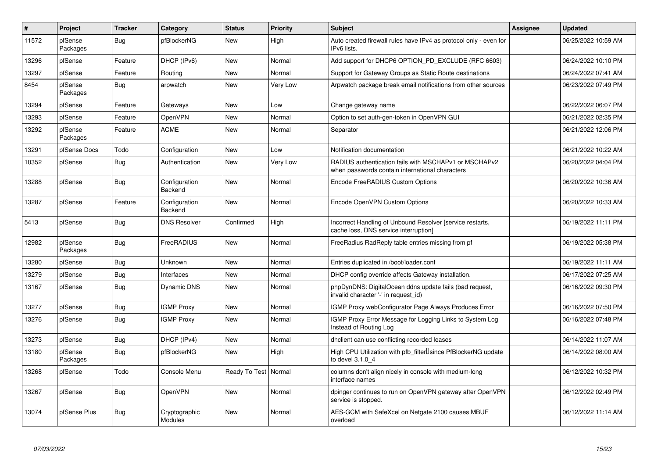| #     | Project             | <b>Tracker</b> | Category                        | <b>Status</b>          | Priority | <b>Subject</b>                                                                                           | <b>Assignee</b> | <b>Updated</b>      |
|-------|---------------------|----------------|---------------------------------|------------------------|----------|----------------------------------------------------------------------------------------------------------|-----------------|---------------------|
| 11572 | pfSense<br>Packages | Bug            | pfBlockerNG                     | New                    | High     | Auto created firewall rules have IPv4 as protocol only - even for<br>IPv6 lists.                         |                 | 06/25/2022 10:59 AM |
| 13296 | pfSense             | Feature        | DHCP (IPv6)                     | New                    | Normal   | Add support for DHCP6 OPTION PD EXCLUDE (RFC 6603)                                                       |                 | 06/24/2022 10:10 PM |
| 13297 | pfSense             | Feature        | Routing                         | <b>New</b>             | Normal   | Support for Gateway Groups as Static Route destinations                                                  |                 | 06/24/2022 07:41 AM |
| 8454  | pfSense<br>Packages | <b>Bug</b>     | arpwatch                        | <b>New</b>             | Very Low | Arpwatch package break email notifications from other sources                                            |                 | 06/23/2022 07:49 PM |
| 13294 | pfSense             | Feature        | Gateways                        | New                    | Low      | Change gateway name                                                                                      |                 | 06/22/2022 06:07 PM |
| 13293 | pfSense             | Feature        | OpenVPN                         | New                    | Normal   | Option to set auth-gen-token in OpenVPN GUI                                                              |                 | 06/21/2022 02:35 PM |
| 13292 | pfSense<br>Packages | Feature        | <b>ACME</b>                     | <b>New</b>             | Normal   | Separator                                                                                                |                 | 06/21/2022 12:06 PM |
| 13291 | pfSense Docs        | Todo           | Configuration                   | New                    | Low      | Notification documentation                                                                               |                 | 06/21/2022 10:22 AM |
| 10352 | pfSense             | <b>Bug</b>     | Authentication                  | New                    | Very Low | RADIUS authentication fails with MSCHAPv1 or MSCHAPv2<br>when passwords contain international characters |                 | 06/20/2022 04:04 PM |
| 13288 | pfSense             | <b>Bug</b>     | Configuration<br>Backend        | <b>New</b>             | Normal   | Encode FreeRADIUS Custom Options                                                                         |                 | 06/20/2022 10:36 AM |
| 13287 | pfSense             | Feature        | Configuration<br><b>Backend</b> | New                    | Normal   | Encode OpenVPN Custom Options                                                                            |                 | 06/20/2022 10:33 AM |
| 5413  | pfSense             | <b>Bug</b>     | <b>DNS Resolver</b>             | Confirmed              | High     | Incorrect Handling of Unbound Resolver [service restarts,<br>cache loss, DNS service interruption]       |                 | 06/19/2022 11:11 PM |
| 12982 | pfSense<br>Packages | <b>Bug</b>     | FreeRADIUS                      | New                    | Normal   | FreeRadius RadReply table entries missing from pf                                                        |                 | 06/19/2022 05:38 PM |
| 13280 | pfSense             | Bug            | Unknown                         | <b>New</b>             | Normal   | Entries duplicated in /boot/loader.conf                                                                  |                 | 06/19/2022 11:11 AM |
| 13279 | pfSense             | <b>Bug</b>     | Interfaces                      | New                    | Normal   | DHCP config override affects Gateway installation.                                                       |                 | 06/17/2022 07:25 AM |
| 13167 | pfSense             | <b>Bug</b>     | Dynamic DNS                     | New                    | Normal   | phpDynDNS: DigitalOcean ddns update fails (bad request,<br>invalid character '-' in request_id)          |                 | 06/16/2022 09:30 PM |
| 13277 | pfSense             | <b>Bug</b>     | <b>IGMP Proxy</b>               | <b>New</b>             | Normal   | IGMP Proxy webConfigurator Page Always Produces Error                                                    |                 | 06/16/2022 07:50 PM |
| 13276 | pfSense             | Bug            | <b>IGMP Proxy</b>               | New                    | Normal   | IGMP Proxy Error Message for Logging Links to System Log<br>Instead of Routing Log                       |                 | 06/16/2022 07:48 PM |
| 13273 | pfSense             | <b>Bug</b>     | DHCP (IPv4)                     | New                    | Normal   | dhclient can use conflicting recorded leases                                                             |                 | 06/14/2022 11:07 AM |
| 13180 | pfSense<br>Packages | <b>Bug</b>     | pfBlockerNG                     | New                    | High     | High CPU Utilization with pfb filter Isince PfBlockerNG update<br>to devel 3.1.0 4                       |                 | 06/14/2022 08:00 AM |
| 13268 | pfSense             | Todo           | Console Menu                    | Ready To Test   Normal |          | columns don't align nicely in console with medium-long<br>interface names                                |                 | 06/12/2022 10:32 PM |
| 13267 | pfSense             | <b>Bug</b>     | OpenVPN                         | <b>New</b>             | Normal   | dpinger continues to run on OpenVPN gateway after OpenVPN<br>service is stopped.                         |                 | 06/12/2022 02:49 PM |
| 13074 | pfSense Plus        | <b>Bug</b>     | Cryptographic<br>Modules        | New                    | Normal   | AES-GCM with SafeXcel on Netgate 2100 causes MBUF<br>overload                                            |                 | 06/12/2022 11:14 AM |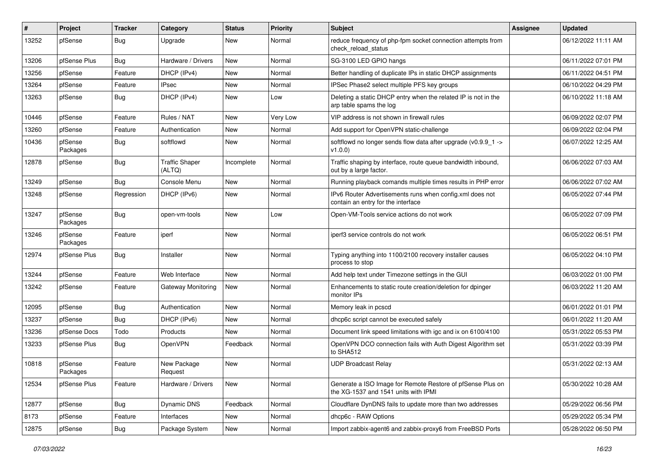| #     | Project             | <b>Tracker</b> | Category                        | <b>Status</b> | <b>Priority</b> | <b>Subject</b>                                                                                     | Assignee | <b>Updated</b>      |
|-------|---------------------|----------------|---------------------------------|---------------|-----------------|----------------------------------------------------------------------------------------------------|----------|---------------------|
| 13252 | pfSense             | Bug            | Upgrade                         | New           | Normal          | reduce frequency of php-fpm socket connection attempts from<br>check reload status                 |          | 06/12/2022 11:11 AM |
| 13206 | pfSense Plus        | Bug            | Hardware / Drivers              | New           | Normal          | SG-3100 LED GPIO hangs                                                                             |          | 06/11/2022 07:01 PM |
| 13256 | pfSense             | Feature        | DHCP (IPv4)                     | New           | Normal          | Better handling of duplicate IPs in static DHCP assignments                                        |          | 06/11/2022 04:51 PM |
| 13264 | pfSense             | Feature        | <b>IPsec</b>                    | New           | Normal          | IPSec Phase2 select multiple PFS key groups                                                        |          | 06/10/2022 04:29 PM |
| 13263 | pfSense             | <b>Bug</b>     | DHCP (IPv4)                     | New           | Low             | Deleting a static DHCP entry when the related IP is not in the<br>arp table spams the log          |          | 06/10/2022 11:18 AM |
| 10446 | pfSense             | Feature        | Rules / NAT                     | New           | Very Low        | VIP address is not shown in firewall rules                                                         |          | 06/09/2022 02:07 PM |
| 13260 | pfSense             | Feature        | Authentication                  | New           | Normal          | Add support for OpenVPN static-challenge                                                           |          | 06/09/2022 02:04 PM |
| 10436 | pfSense<br>Packages | <b>Bug</b>     | softflowd                       | New           | Normal          | softflowd no longer sends flow data after upgrade (v0.9.9_1 -><br>v1.0.0                           |          | 06/07/2022 12:25 AM |
| 12878 | pfSense             | Bug            | <b>Traffic Shaper</b><br>(ALTQ) | Incomplete    | Normal          | Traffic shaping by interface, route queue bandwidth inbound,<br>out by a large factor.             |          | 06/06/2022 07:03 AM |
| 13249 | pfSense             | Bug            | Console Menu                    | New           | Normal          | Running playback comands multiple times results in PHP error                                       |          | 06/06/2022 07:02 AM |
| 13248 | pfSense             | Regression     | DHCP (IPv6)                     | New           | Normal          | IPv6 Router Advertisements runs when config.xml does not<br>contain an entry for the interface     |          | 06/05/2022 07:44 PM |
| 13247 | pfSense<br>Packages | Bug            | open-vm-tools                   | New           | Low             | Open-VM-Tools service actions do not work                                                          |          | 06/05/2022 07:09 PM |
| 13246 | pfSense<br>Packages | Feature        | iperf                           | New           | Normal          | iperf3 service controls do not work                                                                |          | 06/05/2022 06:51 PM |
| 12974 | pfSense Plus        | Bug            | Installer                       | New           | Normal          | Typing anything into 1100/2100 recovery installer causes<br>process to stop                        |          | 06/05/2022 04:10 PM |
| 13244 | pfSense             | Feature        | Web Interface                   | New           | Normal          | Add help text under Timezone settings in the GUI                                                   |          | 06/03/2022 01:00 PM |
| 13242 | pfSense             | Feature        | Gateway Monitoring              | New           | Normal          | Enhancements to static route creation/deletion for dpinger<br>monitor IPs                          |          | 06/03/2022 11:20 AM |
| 12095 | pfSense             | Bug            | Authentication                  | New           | Normal          | Memory leak in pcscd                                                                               |          | 06/01/2022 01:01 PM |
| 13237 | pfSense             | <b>Bug</b>     | DHCP (IPv6)                     | New           | Normal          | dhcp6c script cannot be executed safely                                                            |          | 06/01/2022 11:20 AM |
| 13236 | pfSense Docs        | Todo           | Products                        | New           | Normal          | Document link speed limitations with igc and ix on 6100/4100                                       |          | 05/31/2022 05:53 PM |
| 13233 | pfSense Plus        | <b>Bug</b>     | OpenVPN                         | Feedback      | Normal          | OpenVPN DCO connection fails with Auth Digest Algorithm set<br>to SHA512                           |          | 05/31/2022 03:39 PM |
| 10818 | pfSense<br>Packages | Feature        | New Package<br>Request          | New           | Normal          | <b>UDP Broadcast Relay</b>                                                                         |          | 05/31/2022 02:13 AM |
| 12534 | pfSense Plus        | Feature        | Hardware / Drivers              | New           | Normal          | Generate a ISO Image for Remote Restore of pfSense Plus on<br>the XG-1537 and 1541 units with IPMI |          | 05/30/2022 10:28 AM |
| 12877 | pfSense             | <b>Bug</b>     | Dynamic DNS                     | Feedback      | Normal          | Cloudflare DynDNS fails to update more than two addresses                                          |          | 05/29/2022 06:56 PM |
| 8173  | pfSense             | Feature        | Interfaces                      | New           | Normal          | dhcp6c - RAW Options                                                                               |          | 05/29/2022 05:34 PM |
| 12875 | pfSense             | Bug            | Package System                  | New           | Normal          | Import zabbix-agent6 and zabbix-proxy6 from FreeBSD Ports                                          |          | 05/28/2022 06:50 PM |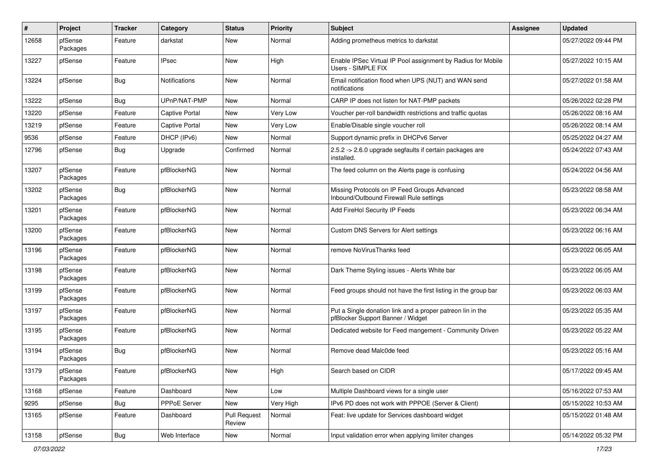| $\sharp$ | Project             | <b>Tracker</b> | Category              | <b>Status</b>                 | Priority  | Subject                                                                                         | <b>Assignee</b> | <b>Updated</b>      |
|----------|---------------------|----------------|-----------------------|-------------------------------|-----------|-------------------------------------------------------------------------------------------------|-----------------|---------------------|
| 12658    | pfSense<br>Packages | Feature        | darkstat              | New                           | Normal    | Adding prometheus metrics to darkstat                                                           |                 | 05/27/2022 09:44 PM |
| 13227    | pfSense             | Feature        | IPsec                 | New                           | High      | Enable IPSec Virtual IP Pool assignment by Radius for Mobile<br>Users - SIMPLE FIX              |                 | 05/27/2022 10:15 AM |
| 13224    | pfSense             | Bug            | <b>Notifications</b>  | New                           | Normal    | Email notification flood when UPS (NUT) and WAN send<br>notifications                           |                 | 05/27/2022 01:58 AM |
| 13222    | pfSense             | <b>Bug</b>     | UPnP/NAT-PMP          | New                           | Normal    | CARP IP does not listen for NAT-PMP packets                                                     |                 | 05/26/2022 02:28 PM |
| 13220    | pfSense             | Feature        | <b>Captive Portal</b> | New                           | Very Low  | Voucher per-roll bandwidth restrictions and traffic quotas                                      |                 | 05/26/2022 08:16 AM |
| 13219    | pfSense             | Feature        | <b>Captive Portal</b> | New                           | Very Low  | Enable/Disable single voucher roll                                                              |                 | 05/26/2022 08:14 AM |
| 9536     | pfSense             | Feature        | DHCP (IPv6)           | New                           | Normal    | Support dynamic prefix in DHCPv6 Server                                                         |                 | 05/25/2022 04:27 AM |
| 12796    | pfSense             | Bug            | Upgrade               | Confirmed                     | Normal    | 2.5.2 -> 2.6.0 upgrade segfaults if certain packages are<br>installed.                          |                 | 05/24/2022 07:43 AM |
| 13207    | pfSense<br>Packages | Feature        | pfBlockerNG           | New                           | Normal    | The feed column on the Alerts page is confusing                                                 |                 | 05/24/2022 04:56 AM |
| 13202    | pfSense<br>Packages | <b>Bug</b>     | pfBlockerNG           | New                           | Normal    | Missing Protocols on IP Feed Groups Advanced<br>Inbound/Outbound Firewall Rule settings         |                 | 05/23/2022 08:58 AM |
| 13201    | pfSense<br>Packages | Feature        | pfBlockerNG           | New                           | Normal    | Add FireHol Security IP Feeds                                                                   |                 | 05/23/2022 06:34 AM |
| 13200    | pfSense<br>Packages | Feature        | pfBlockerNG           | New                           | Normal    | Custom DNS Servers for Alert settings                                                           |                 | 05/23/2022 06:16 AM |
| 13196    | pfSense<br>Packages | Feature        | pfBlockerNG           | New                           | Normal    | remove NoVirusThanks feed                                                                       |                 | 05/23/2022 06:05 AM |
| 13198    | pfSense<br>Packages | Feature        | pfBlockerNG           | New                           | Normal    | Dark Theme Styling issues - Alerts White bar                                                    |                 | 05/23/2022 06:05 AM |
| 13199    | pfSense<br>Packages | Feature        | pfBlockerNG           | New                           | Normal    | Feed groups should not have the first listing in the group bar                                  |                 | 05/23/2022 06:03 AM |
| 13197    | pfSense<br>Packages | Feature        | pfBlockerNG           | New                           | Normal    | Put a Single donation link and a proper patreon lin in the<br>pfBlocker Support Banner / Widget |                 | 05/23/2022 05:35 AM |
| 13195    | pfSense<br>Packages | Feature        | pfBlockerNG           | New                           | Normal    | Dedicated website for Feed mangement - Community Driven                                         |                 | 05/23/2022 05:22 AM |
| 13194    | pfSense<br>Packages | <b>Bug</b>     | pfBlockerNG           | New                           | Normal    | Remove dead Malc0de feed                                                                        |                 | 05/23/2022 05:16 AM |
| 13179    | pfSense<br>Packages | Feature        | pfBlockerNG           | New                           | High      | Search based on CIDR                                                                            |                 | 05/17/2022 09:45 AM |
| 13168    | pfSense             | Feature        | Dashboard             | New                           | Low       | Multiple Dashboard views for a single user                                                      |                 | 05/16/2022 07:53 AM |
| 9295     | pfSense             | Bug            | <b>PPPoE Server</b>   | New                           | Very High | IPv6 PD does not work with PPPOE (Server & Client)                                              |                 | 05/15/2022 10:53 AM |
| 13165    | pfSense             | Feature        | Dashboard             | <b>Pull Request</b><br>Review | Normal    | Feat: live update for Services dashboard widget                                                 |                 | 05/15/2022 01:48 AM |
| 13158    | pfSense             | Bug            | Web Interface         | New                           | Normal    | Input validation error when applying limiter changes                                            |                 | 05/14/2022 05:32 PM |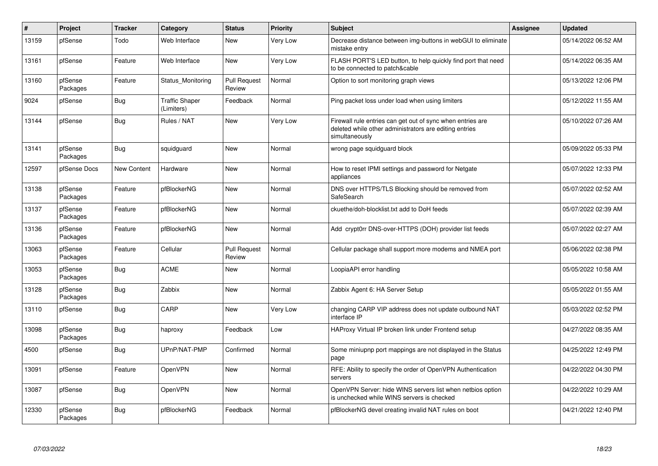| $\vert$ # | Project             | <b>Tracker</b> | Category                            | <b>Status</b>                 | <b>Priority</b> | <b>Subject</b>                                                                                                                         | <b>Assignee</b> | <b>Updated</b>      |
|-----------|---------------------|----------------|-------------------------------------|-------------------------------|-----------------|----------------------------------------------------------------------------------------------------------------------------------------|-----------------|---------------------|
| 13159     | pfSense             | Todo           | Web Interface                       | New                           | Very Low        | Decrease distance between img-buttons in webGUI to eliminate<br>mistake entry                                                          |                 | 05/14/2022 06:52 AM |
| 13161     | pfSense             | Feature        | Web Interface                       | New                           | Very Low        | FLASH PORT'S LED button, to help quickly find port that need<br>to be connected to patch&cable                                         |                 | 05/14/2022 06:35 AM |
| 13160     | pfSense<br>Packages | Feature        | Status_Monitoring                   | <b>Pull Request</b><br>Review | Normal          | Option to sort monitoring graph views                                                                                                  |                 | 05/13/2022 12:06 PM |
| 9024      | pfSense             | <b>Bug</b>     | <b>Traffic Shaper</b><br>(Limiters) | Feedback                      | Normal          | Ping packet loss under load when using limiters                                                                                        |                 | 05/12/2022 11:55 AM |
| 13144     | pfSense             | <b>Bug</b>     | Rules / NAT                         | New                           | Very Low        | Firewall rule entries can get out of sync when entries are<br>deleted while other administrators are editing entries<br>simultaneously |                 | 05/10/2022 07:26 AM |
| 13141     | pfSense<br>Packages | Bug            | squidguard                          | New                           | Normal          | wrong page squidguard block                                                                                                            |                 | 05/09/2022 05:33 PM |
| 12597     | pfSense Docs        | New Content    | Hardware                            | New                           | Normal          | How to reset IPMI settings and password for Netgate<br>appliances                                                                      |                 | 05/07/2022 12:33 PM |
| 13138     | pfSense<br>Packages | Feature        | pfBlockerNG                         | New                           | Normal          | DNS over HTTPS/TLS Blocking should be removed from<br>SafeSearch                                                                       |                 | 05/07/2022 02:52 AM |
| 13137     | pfSense<br>Packages | Feature        | pfBlockerNG                         | New                           | Normal          | ckuethe/doh-blocklist.txt add to DoH feeds                                                                                             |                 | 05/07/2022 02:39 AM |
| 13136     | pfSense<br>Packages | Feature        | pfBlockerNG                         | New                           | Normal          | Add crypt0rr DNS-over-HTTPS (DOH) provider list feeds                                                                                  |                 | 05/07/2022 02:27 AM |
| 13063     | pfSense<br>Packages | Feature        | Cellular                            | <b>Pull Request</b><br>Review | Normal          | Cellular package shall support more modems and NMEA port                                                                               |                 | 05/06/2022 02:38 PM |
| 13053     | pfSense<br>Packages | <b>Bug</b>     | <b>ACME</b>                         | New                           | Normal          | LoopiaAPI error handling                                                                                                               |                 | 05/05/2022 10:58 AM |
| 13128     | pfSense<br>Packages | <b>Bug</b>     | Zabbix                              | <b>New</b>                    | Normal          | Zabbix Agent 6: HA Server Setup                                                                                                        |                 | 05/05/2022 01:55 AM |
| 13110     | pfSense             | Bug            | CARP                                | <b>New</b>                    | Very Low        | changing CARP VIP address does not update outbound NAT<br>interface IP                                                                 |                 | 05/03/2022 02:52 PM |
| 13098     | pfSense<br>Packages | <b>Bug</b>     | haproxy                             | Feedback                      | Low             | HAProxy Virtual IP broken link under Frontend setup                                                                                    |                 | 04/27/2022 08:35 AM |
| 4500      | pfSense             | <b>Bug</b>     | UPnP/NAT-PMP                        | Confirmed                     | Normal          | Some miniupnp port mappings are not displayed in the Status<br>page                                                                    |                 | 04/25/2022 12:49 PM |
| 13091     | pfSense             | Feature        | OpenVPN                             | <b>New</b>                    | Normal          | RFE: Ability to specify the order of OpenVPN Authentication<br>servers                                                                 |                 | 04/22/2022 04:30 PM |
| 13087     | pfSense             | Bug            | OpenVPN                             | New                           | Normal          | OpenVPN Server: hide WINS servers list when netbios option<br>is unchecked while WINS servers is checked                               |                 | 04/22/2022 10:29 AM |
| 12330     | pfSense<br>Packages | <b>Bug</b>     | pfBlockerNG                         | Feedback                      | Normal          | pfBlockerNG devel creating invalid NAT rules on boot                                                                                   |                 | 04/21/2022 12:40 PM |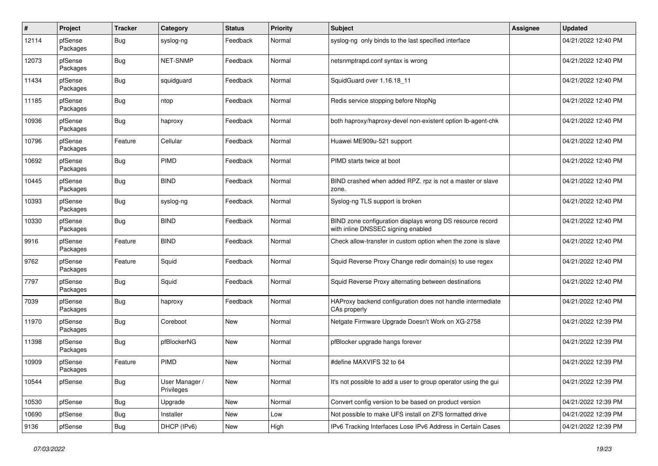| $\#$  | Project             | <b>Tracker</b> | Category                     | <b>Status</b> | <b>Priority</b> | Subject                                                                                         | <b>Assignee</b> | <b>Updated</b>      |
|-------|---------------------|----------------|------------------------------|---------------|-----------------|-------------------------------------------------------------------------------------------------|-----------------|---------------------|
| 12114 | pfSense<br>Packages | <b>Bug</b>     | syslog-ng                    | Feedback      | Normal          | syslog-ng only binds to the last specified interface                                            |                 | 04/21/2022 12:40 PM |
| 12073 | pfSense<br>Packages | <b>Bug</b>     | NET-SNMP                     | Feedback      | Normal          | netsnmptrapd.conf syntax is wrong                                                               |                 | 04/21/2022 12:40 PM |
| 11434 | pfSense<br>Packages | <b>Bug</b>     | squidguard                   | Feedback      | Normal          | SquidGuard over 1.16.18_11                                                                      |                 | 04/21/2022 12:40 PM |
| 11185 | pfSense<br>Packages | Bug            | ntop                         | Feedback      | Normal          | Redis service stopping before NtopNg                                                            |                 | 04/21/2022 12:40 PM |
| 10936 | pfSense<br>Packages | Bug            | haproxy                      | Feedback      | Normal          | both haproxy/haproxy-devel non-existent option lb-agent-chk                                     |                 | 04/21/2022 12:40 PM |
| 10796 | pfSense<br>Packages | Feature        | Cellular                     | Feedback      | Normal          | Huawei ME909u-521 support                                                                       |                 | 04/21/2022 12:40 PM |
| 10692 | pfSense<br>Packages | Bug            | PIMD                         | Feedback      | Normal          | PIMD starts twice at boot                                                                       |                 | 04/21/2022 12:40 PM |
| 10445 | pfSense<br>Packages | <b>Bug</b>     | <b>BIND</b>                  | Feedback      | Normal          | BIND crashed when added RPZ. rpz is not a master or slave<br>zone.                              |                 | 04/21/2022 12:40 PM |
| 10393 | pfSense<br>Packages | <b>Bug</b>     | syslog-ng                    | Feedback      | Normal          | Syslog-ng TLS support is broken                                                                 |                 | 04/21/2022 12:40 PM |
| 10330 | pfSense<br>Packages | <b>Bug</b>     | <b>BIND</b>                  | Feedback      | Normal          | BIND zone configuration displays wrong DS resource record<br>with inline DNSSEC signing enabled |                 | 04/21/2022 12:40 PM |
| 9916  | pfSense<br>Packages | Feature        | <b>BIND</b>                  | Feedback      | Normal          | Check allow-transfer in custom option when the zone is slave                                    |                 | 04/21/2022 12:40 PM |
| 9762  | pfSense<br>Packages | Feature        | Squid                        | Feedback      | Normal          | Squid Reverse Proxy Change redir domain(s) to use regex                                         |                 | 04/21/2022 12:40 PM |
| 7797  | pfSense<br>Packages | <b>Bug</b>     | Squid                        | Feedback      | Normal          | Squid Reverse Proxy alternating between destinations                                            |                 | 04/21/2022 12:40 PM |
| 7039  | pfSense<br>Packages | <b>Bug</b>     | haproxy                      | Feedback      | Normal          | HAProxy backend configuration does not handle intermediate<br>CAs properly                      |                 | 04/21/2022 12:40 PM |
| 11970 | pfSense<br>Packages | <b>Bug</b>     | Coreboot                     | New           | Normal          | Netgate Firmware Upgrade Doesn't Work on XG-2758                                                |                 | 04/21/2022 12:39 PM |
| 11398 | pfSense<br>Packages | Bug            | pfBlockerNG                  | New           | Normal          | pfBlocker upgrade hangs forever                                                                 |                 | 04/21/2022 12:39 PM |
| 10909 | pfSense<br>Packages | Feature        | PIMD                         | New           | Normal          | #define MAXVIFS 32 to 64                                                                        |                 | 04/21/2022 12:39 PM |
| 10544 | pfSense             | <b>Bug</b>     | User Manager /<br>Privileges | New           | Normal          | It's not possible to add a user to group operator using the gui                                 |                 | 04/21/2022 12:39 PM |
| 10530 | pfSense             | <b>Bug</b>     | Upgrade                      | New           | Normal          | Convert config version to be based on product version                                           |                 | 04/21/2022 12:39 PM |
| 10690 | pfSense             | <b>Bug</b>     | Installer                    | New           | Low             | Not possible to make UFS install on ZFS formatted drive                                         |                 | 04/21/2022 12:39 PM |
| 9136  | pfSense             | <b>Bug</b>     | DHCP (IPv6)                  | New           | High            | IPv6 Tracking Interfaces Lose IPv6 Address in Certain Cases                                     |                 | 04/21/2022 12:39 PM |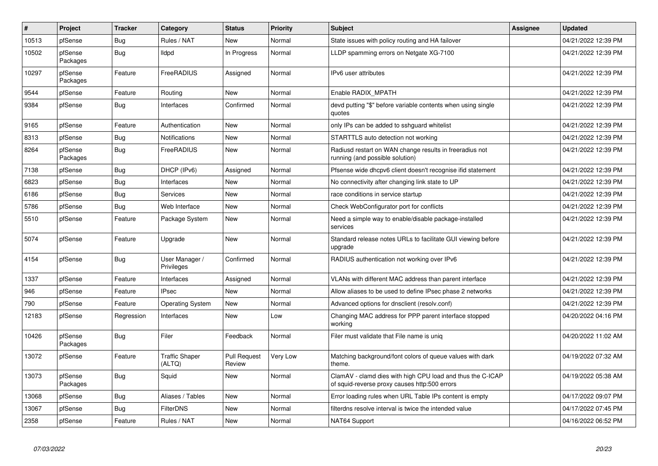| $\sharp$ | <b>Project</b>      | <b>Tracker</b> | Category                        | <b>Status</b>                 | <b>Priority</b> | <b>Subject</b>                                                                                              | <b>Assignee</b> | <b>Updated</b>      |
|----------|---------------------|----------------|---------------------------------|-------------------------------|-----------------|-------------------------------------------------------------------------------------------------------------|-----------------|---------------------|
| 10513    | pfSense             | Bug            | Rules / NAT                     | New                           | Normal          | State issues with policy routing and HA failover                                                            |                 | 04/21/2022 12:39 PM |
| 10502    | pfSense<br>Packages | Bug            | lldpd                           | In Progress                   | Normal          | LLDP spamming errors on Netgate XG-7100                                                                     |                 | 04/21/2022 12:39 PM |
| 10297    | pfSense<br>Packages | Feature        | FreeRADIUS                      | Assigned                      | Normal          | IPv6 user attributes                                                                                        |                 | 04/21/2022 12:39 PM |
| 9544     | pfSense             | Feature        | Routing                         | New                           | Normal          | Enable RADIX_MPATH                                                                                          |                 | 04/21/2022 12:39 PM |
| 9384     | pfSense             | <b>Bug</b>     | Interfaces                      | Confirmed                     | Normal          | devd putting "\$" before variable contents when using single<br>quotes                                      |                 | 04/21/2022 12:39 PM |
| 9165     | pfSense             | Feature        | Authentication                  | New                           | Normal          | only IPs can be added to sshguard whitelist                                                                 |                 | 04/21/2022 12:39 PM |
| 8313     | pfSense             | <b>Bug</b>     | <b>Notifications</b>            | New                           | Normal          | STARTTLS auto detection not working                                                                         |                 | 04/21/2022 12:39 PM |
| 8264     | pfSense<br>Packages | Bug            | FreeRADIUS                      | New                           | Normal          | Radiusd restart on WAN change results in freeradius not<br>running (and possible solution)                  |                 | 04/21/2022 12:39 PM |
| 7138     | pfSense             | Bug            | DHCP (IPv6)                     | Assigned                      | Normal          | Pfsense wide dhcpv6 client doesn't recognise ifid statement                                                 |                 | 04/21/2022 12:39 PM |
| 6823     | pfSense             | <b>Bug</b>     | Interfaces                      | New                           | Normal          | No connectivity after changing link state to UP                                                             |                 | 04/21/2022 12:39 PM |
| 6186     | pfSense             | <b>Bug</b>     | Services                        | New                           | Normal          | race conditions in service startup                                                                          |                 | 04/21/2022 12:39 PM |
| 5786     | pfSense             | Bug            | Web Interface                   | New                           | Normal          | Check WebConfigurator port for conflicts                                                                    |                 | 04/21/2022 12:39 PM |
| 5510     | pfSense             | Feature        | Package System                  | New                           | Normal          | Need a simple way to enable/disable package-installed<br>services                                           |                 | 04/21/2022 12:39 PM |
| 5074     | pfSense             | Feature        | Upgrade                         | New                           | Normal          | Standard release notes URLs to facilitate GUI viewing before<br>upgrade                                     |                 | 04/21/2022 12:39 PM |
| 4154     | pfSense             | Bug            | User Manager /<br>Privileges    | Confirmed                     | Normal          | RADIUS authentication not working over IPv6                                                                 |                 | 04/21/2022 12:39 PM |
| 1337     | pfSense             | Feature        | Interfaces                      | Assigned                      | Normal          | VLANs with different MAC address than parent interface                                                      |                 | 04/21/2022 12:39 PM |
| 946      | pfSense             | Feature        | <b>IPsec</b>                    | New                           | Normal          | Allow aliases to be used to define IPsec phase 2 networks                                                   |                 | 04/21/2022 12:39 PM |
| 790      | pfSense             | Feature        | <b>Operating System</b>         | New                           | Normal          | Advanced options for dnsclient (resolv.conf)                                                                |                 | 04/21/2022 12:39 PM |
| 12183    | pfSense             | Regression     | Interfaces                      | New                           | Low             | Changing MAC address for PPP parent interface stopped<br>working                                            |                 | 04/20/2022 04:16 PM |
| 10426    | pfSense<br>Packages | Bug            | Filer                           | Feedback                      | Normal          | Filer must validate that File name is unig                                                                  |                 | 04/20/2022 11:02 AM |
| 13072    | pfSense             | Feature        | <b>Traffic Shaper</b><br>(ALTQ) | <b>Pull Request</b><br>Review | Very Low        | Matching background/font colors of queue values with dark<br>theme.                                         |                 | 04/19/2022 07:32 AM |
| 13073    | pfSense<br>Packages | <b>Bug</b>     | Squid                           | New                           | Normal          | ClamAV - clamd dies with high CPU load and thus the C-ICAP<br>of squid-reverse proxy causes http:500 errors |                 | 04/19/2022 05:38 AM |
| 13068    | pfSense             | <b>Bug</b>     | Aliases / Tables                | New                           | Normal          | Error loading rules when URL Table IPs content is empty                                                     |                 | 04/17/2022 09:07 PM |
| 13067    | pfSense             | <b>Bug</b>     | <b>FilterDNS</b>                | New                           | Normal          | filterdns resolve interval is twice the intended value                                                      |                 | 04/17/2022 07:45 PM |
| 2358     | pfSense             | Feature        | Rules / NAT                     | New                           | Normal          | NAT64 Support                                                                                               |                 | 04/16/2022 06:52 PM |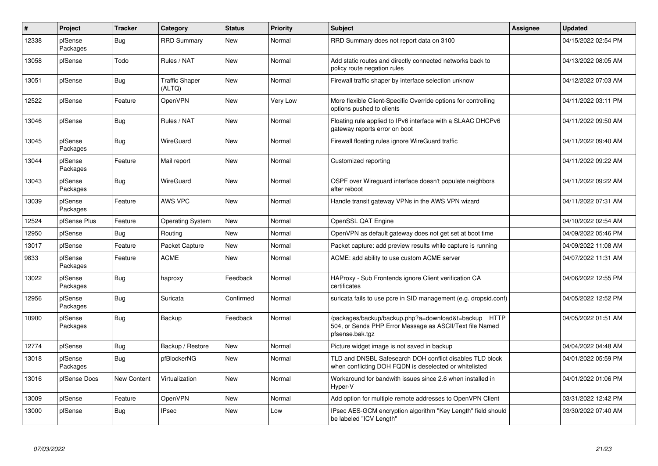| $\sharp$ | Project             | <b>Tracker</b>     | Category                        | <b>Status</b> | <b>Priority</b> | <b>Subject</b>                                                                                                                      | Assignee | <b>Updated</b>      |
|----------|---------------------|--------------------|---------------------------------|---------------|-----------------|-------------------------------------------------------------------------------------------------------------------------------------|----------|---------------------|
| 12338    | pfSense<br>Packages | <b>Bug</b>         | <b>RRD Summary</b>              | <b>New</b>    | Normal          | RRD Summary does not report data on 3100                                                                                            |          | 04/15/2022 02:54 PM |
| 13058    | pfSense             | Todo               | Rules / NAT                     | New           | Normal          | Add static routes and directly connected networks back to<br>policy route negation rules                                            |          | 04/13/2022 08:05 AM |
| 13051    | pfSense             | Bug                | <b>Traffic Shaper</b><br>(ALTQ) | New           | Normal          | Firewall traffic shaper by interface selection unknow                                                                               |          | 04/12/2022 07:03 AM |
| 12522    | pfSense             | Feature            | OpenVPN                         | New           | Very Low        | More flexible Client-Specific Override options for controlling<br>options pushed to clients                                         |          | 04/11/2022 03:11 PM |
| 13046    | pfSense             | <b>Bug</b>         | Rules / NAT                     | <b>New</b>    | Normal          | Floating rule applied to IPv6 interface with a SLAAC DHCPv6<br>gateway reports error on boot                                        |          | 04/11/2022 09:50 AM |
| 13045    | pfSense<br>Packages | Bug                | WireGuard                       | <b>New</b>    | Normal          | Firewall floating rules ignore WireGuard traffic                                                                                    |          | 04/11/2022 09:40 AM |
| 13044    | pfSense<br>Packages | Feature            | Mail report                     | <b>New</b>    | Normal          | Customized reporting                                                                                                                |          | 04/11/2022 09:22 AM |
| 13043    | pfSense<br>Packages | Bug                | WireGuard                       | <b>New</b>    | Normal          | OSPF over Wireguard interface doesn't populate neighbors<br>after reboot                                                            |          | 04/11/2022 09:22 AM |
| 13039    | pfSense<br>Packages | Feature            | <b>AWS VPC</b>                  | <b>New</b>    | Normal          | Handle transit gateway VPNs in the AWS VPN wizard                                                                                   |          | 04/11/2022 07:31 AM |
| 12524    | pfSense Plus        | Feature            | <b>Operating System</b>         | New           | Normal          | OpenSSL QAT Engine                                                                                                                  |          | 04/10/2022 02:54 AM |
| 12950    | pfSense             | Bug                | Routing                         | New           | Normal          | OpenVPN as default gateway does not get set at boot time                                                                            |          | 04/09/2022 05:46 PM |
| 13017    | pfSense             | Feature            | Packet Capture                  | <b>New</b>    | Normal          | Packet capture: add preview results while capture is running                                                                        |          | 04/09/2022 11:08 AM |
| 9833     | pfSense<br>Packages | Feature            | <b>ACME</b>                     | New           | Normal          | ACME: add ability to use custom ACME server                                                                                         |          | 04/07/2022 11:31 AM |
| 13022    | pfSense<br>Packages | <b>Bug</b>         | haproxy                         | Feedback      | Normal          | HAProxy - Sub Frontends ignore Client verification CA<br>certificates                                                               |          | 04/06/2022 12:55 PM |
| 12956    | pfSense<br>Packages | <b>Bug</b>         | Suricata                        | Confirmed     | Normal          | suricata fails to use pcre in SID management (e.g. dropsid.conf)                                                                    |          | 04/05/2022 12:52 PM |
| 10900    | pfSense<br>Packages | Bug                | Backup                          | Feedback      | Normal          | /packages/backup/backup.php?a=download&t=backup HTTP<br>504, or Sends PHP Error Message as ASCII/Text file Named<br>pfsense.bak.tgz |          | 04/05/2022 01:51 AM |
| 12774    | pfSense             | <b>Bug</b>         | Backup / Restore                | <b>New</b>    | Normal          | Picture widget image is not saved in backup                                                                                         |          | 04/04/2022 04:48 AM |
| 13018    | pfSense<br>Packages | <b>Bug</b>         | pfBlockerNG                     | <b>New</b>    | Normal          | TLD and DNSBL Safesearch DOH conflict disables TLD block<br>when conflicting DOH FQDN is deselected or whitelisted                  |          | 04/01/2022 05:59 PM |
| 13016    | pfSense Docs        | <b>New Content</b> | Virtualization                  | <b>New</b>    | Normal          | Workaround for bandwith issues since 2.6 when installed in<br>Hyper-V                                                               |          | 04/01/2022 01:06 PM |
| 13009    | pfSense             | Feature            | OpenVPN                         | <b>New</b>    | Normal          | Add option for multiple remote addresses to OpenVPN Client                                                                          |          | 03/31/2022 12:42 PM |
| 13000    | pfSense             | <b>Bug</b>         | <b>IPsec</b>                    | New           | Low             | IPsec AES-GCM encryption algorithm "Key Length" field should<br>be labeled "ICV Length"                                             |          | 03/30/2022 07:40 AM |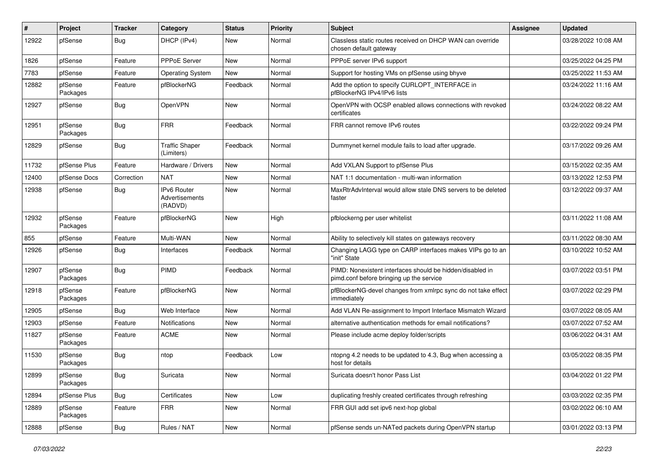| #     | Project             | <b>Tracker</b> | Category                                        | <b>Status</b> | <b>Priority</b> | Subject                                                                                               | <b>Assignee</b> | <b>Updated</b>      |
|-------|---------------------|----------------|-------------------------------------------------|---------------|-----------------|-------------------------------------------------------------------------------------------------------|-----------------|---------------------|
| 12922 | pfSense             | <b>Bug</b>     | DHCP (IPv4)                                     | New           | Normal          | Classless static routes received on DHCP WAN can override<br>chosen default gateway                   |                 | 03/28/2022 10:08 AM |
| 1826  | pfSense             | Feature        | <b>PPPoE Server</b>                             | New           | Normal          | PPPoE server IPv6 support                                                                             |                 | 03/25/2022 04:25 PM |
| 7783  | pfSense             | Feature        | <b>Operating System</b>                         | New           | Normal          | Support for hosting VMs on pfSense using bhyve                                                        |                 | 03/25/2022 11:53 AM |
| 12882 | pfSense<br>Packages | Feature        | pfBlockerNG                                     | Feedback      | Normal          | Add the option to specify CURLOPT_INTERFACE in<br>pfBlockerNG IPv4/IPv6 lists                         |                 | 03/24/2022 11:16 AM |
| 12927 | pfSense             | <b>Bug</b>     | OpenVPN                                         | New           | Normal          | OpenVPN with OCSP enabled allows connections with revoked<br>certificates                             |                 | 03/24/2022 08:22 AM |
| 12951 | pfSense<br>Packages | <b>Bug</b>     | <b>FRR</b>                                      | Feedback      | Normal          | FRR cannot remove IPv6 routes                                                                         |                 | 03/22/2022 09:24 PM |
| 12829 | pfSense             | <b>Bug</b>     | <b>Traffic Shaper</b><br>(Limiters)             | Feedback      | Normal          | Dummynet kernel module fails to load after upgrade.                                                   |                 | 03/17/2022 09:26 AM |
| 11732 | pfSense Plus        | Feature        | Hardware / Drivers                              | New           | Normal          | Add VXLAN Support to pfSense Plus                                                                     |                 | 03/15/2022 02:35 AM |
| 12400 | pfSense Docs        | Correction     | <b>NAT</b>                                      | New           | Normal          | NAT 1:1 documentation - multi-wan information                                                         |                 | 03/13/2022 12:53 PM |
| 12938 | pfSense             | <b>Bug</b>     | IPv6 Router<br><b>Advertisements</b><br>(RADVD) | New           | Normal          | MaxRtrAdvInterval would allow stale DNS servers to be deleted<br>faster                               |                 | 03/12/2022 09:37 AM |
| 12932 | pfSense<br>Packages | Feature        | pfBlockerNG                                     | New           | High            | pfblockerng per user whitelist                                                                        |                 | 03/11/2022 11:08 AM |
| 855   | pfSense             | Feature        | Multi-WAN                                       | New           | Normal          | Ability to selectively kill states on gateways recovery                                               |                 | 03/11/2022 08:30 AM |
| 12926 | pfSense             | Bug            | Interfaces                                      | Feedback      | Normal          | Changing LAGG type on CARP interfaces makes VIPs go to an<br>"init" State                             |                 | 03/10/2022 10:52 AM |
| 12907 | pfSense<br>Packages | <b>Bug</b>     | PIMD                                            | Feedback      | Normal          | PIMD: Nonexistent interfaces should be hidden/disabled in<br>pimd.conf before bringing up the service |                 | 03/07/2022 03:51 PM |
| 12918 | pfSense<br>Packages | Feature        | pfBlockerNG                                     | New           | Normal          | pfBlockerNG-devel changes from xmlrpc sync do not take effect<br>immediately                          |                 | 03/07/2022 02:29 PM |
| 12905 | pfSense             | <b>Bug</b>     | Web Interface                                   | New           | Normal          | Add VLAN Re-assignment to Import Interface Mismatch Wizard                                            |                 | 03/07/2022 08:05 AM |
| 12903 | pfSense             | Feature        | <b>Notifications</b>                            | New           | Normal          | alternative authentication methods for email notifications?                                           |                 | 03/07/2022 07:52 AM |
| 11827 | pfSense<br>Packages | Feature        | <b>ACME</b>                                     | New           | Normal          | Please include acme deploy folder/scripts                                                             |                 | 03/06/2022 04:31 AM |
| 11530 | pfSense<br>Packages | <b>Bug</b>     | ntop                                            | Feedback      | Low             | ntopng 4.2 needs to be updated to 4.3, Bug when accessing a<br>host for details                       |                 | 03/05/2022 08:35 PM |
| 12899 | pfSense<br>Packages | <b>Bug</b>     | Suricata                                        | New           | Normal          | Suricata doesn't honor Pass List                                                                      |                 | 03/04/2022 01:22 PM |
| 12894 | pfSense Plus        | <b>Bug</b>     | Certificates                                    | New           | Low             | duplicating freshly created certificates through refreshing                                           |                 | 03/03/2022 02:35 PM |
| 12889 | pfSense<br>Packages | Feature        | <b>FRR</b>                                      | New           | Normal          | FRR GUI add set ipv6 next-hop global                                                                  |                 | 03/02/2022 06:10 AM |
| 12888 | pfSense             | Bug            | Rules / NAT                                     | New           | Normal          | pfSense sends un-NATed packets during OpenVPN startup                                                 |                 | 03/01/2022 03:13 PM |